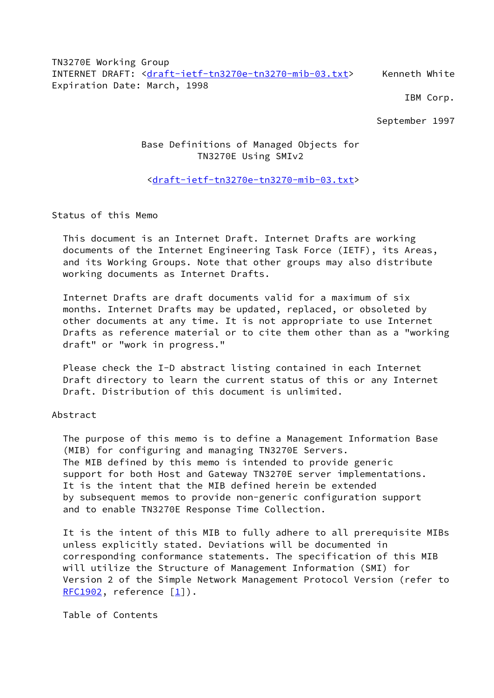TN3270E Working Group INTERNET DRAFT: [<draft-ietf-tn3270e-tn3270-mib-03.txt](https://datatracker.ietf.org/doc/pdf/draft-ietf-tn3270e-tn3270-mib-03.txt)> Kenneth White Expiration Date: March, 1998

IBM Corp.

September 1997

# Base Definitions of Managed Objects for TN3270E Using SMIv2

## <[draft-ietf-tn3270e-tn3270-mib-03.txt>](https://datatracker.ietf.org/doc/pdf/draft-ietf-tn3270e-tn3270-mib-03.txt)

Status of this Memo

 This document is an Internet Draft. Internet Drafts are working documents of the Internet Engineering Task Force (IETF), its Areas, and its Working Groups. Note that other groups may also distribute working documents as Internet Drafts.

 Internet Drafts are draft documents valid for a maximum of six months. Internet Drafts may be updated, replaced, or obsoleted by other documents at any time. It is not appropriate to use Internet Drafts as reference material or to cite them other than as a "working draft" or "work in progress."

 Please check the I-D abstract listing contained in each Internet Draft directory to learn the current status of this or any Internet Draft. Distribution of this document is unlimited.

#### Abstract

 The purpose of this memo is to define a Management Information Base (MIB) for configuring and managing TN3270E Servers. The MIB defined by this memo is intended to provide generic support for both Host and Gateway TN3270E server implementations. It is the intent that the MIB defined herein be extended by subsequent memos to provide non-generic configuration support and to enable TN3270E Response Time Collection.

 It is the intent of this MIB to fully adhere to all prerequisite MIBs unless explicitly stated. Deviations will be documented in corresponding conformance statements. The specification of this MIB will utilize the Structure of Management Information (SMI) for Version 2 of the Simple Network Management Protocol Version (refer to  $RFC1902$ , reference  $[1]$  $[1]$ ).

Table of Contents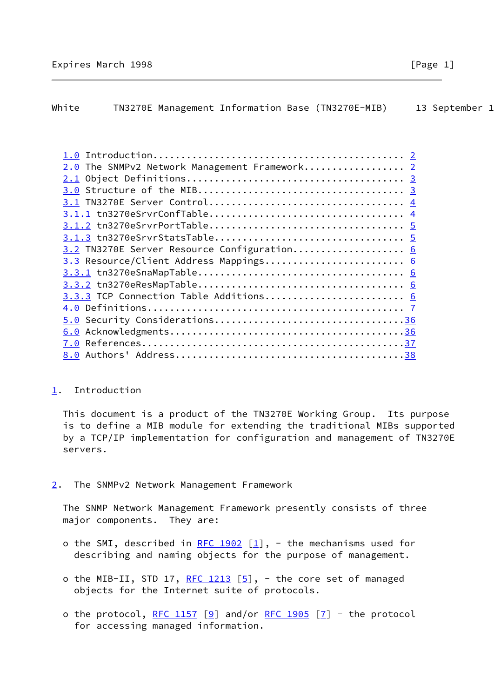# <span id="page-1-0"></span>White TN3270E Management Information Base (TN3270E-MIB) 13 September 1

| 2.0 The SNMPv2 Network Management Framework 2 |                                                                         |
|-----------------------------------------------|-------------------------------------------------------------------------|
|                                               |                                                                         |
|                                               |                                                                         |
|                                               |                                                                         |
|                                               |                                                                         |
|                                               |                                                                         |
|                                               |                                                                         |
| 3.2 TN3270E Server Resource Configuration 6   |                                                                         |
| 3.3 Resource/Client Address Mappings 6        |                                                                         |
|                                               |                                                                         |
|                                               |                                                                         |
|                                               |                                                                         |
|                                               |                                                                         |
|                                               |                                                                         |
|                                               |                                                                         |
|                                               |                                                                         |
|                                               |                                                                         |
|                                               | 3.3.3 TCP Connection Table Additions 6<br>5.0 Security Considerations36 |

## <span id="page-1-1"></span>[1](#page-1-1). Introduction

 This document is a product of the TN3270E Working Group. Its purpose is to define a MIB module for extending the traditional MIBs supported by a TCP/IP implementation for configuration and management of TN3270E servers.

<span id="page-1-2"></span>[2](#page-1-2). The SNMPv2 Network Management Framework

 The SNMP Network Management Framework presently consists of three major components. They are:

- o the SMI, described in [RFC 1902](https://datatracker.ietf.org/doc/pdf/rfc1902)  $[1]$  $[1]$ , the mechanisms used for describing and naming objects for the purpose of management.
- o the MIB-II, STD 17, [RFC 1213](https://datatracker.ietf.org/doc/pdf/rfc1213)  $[5]$  $[5]$ , the core set of managed objects for the Internet suite of protocols.
- o the protocol, [RFC 1157](https://datatracker.ietf.org/doc/pdf/rfc1157) [\[9](#page-41-2)] and/or [RFC 1905](https://datatracker.ietf.org/doc/pdf/rfc1905) [\[7](#page-41-3)] the protocol for accessing managed information.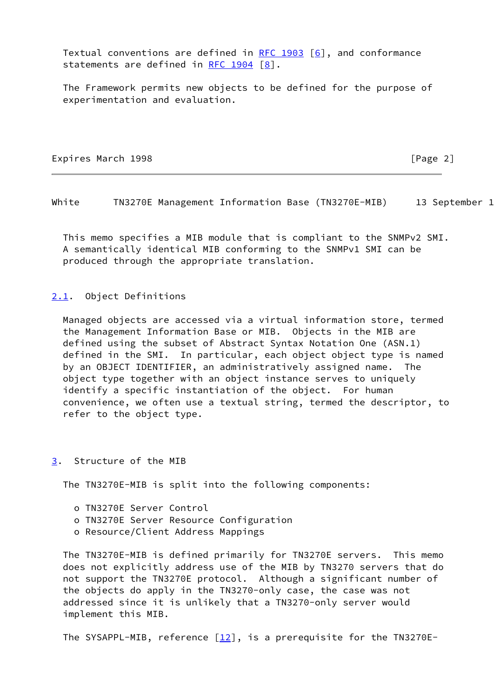Textual conventions are defined in [RFC 1903](https://datatracker.ietf.org/doc/pdf/rfc1903)  $[6]$  $[6]$ , and conformance statements are defined in RFC  $1904$   $[8]$  $[8]$ .

 The Framework permits new objects to be defined for the purpose of experimentation and evaluation.

Expires March 1998 **Expires** March 1998

<span id="page-2-1"></span>White TN3270E Management Information Base (TN3270E-MIB) 13 September 1

 This memo specifies a MIB module that is compliant to the SNMPv2 SMI. A semantically identical MIB conforming to the SNMPv1 SMI can be produced through the appropriate translation.

### <span id="page-2-0"></span>[2.1](#page-2-0). Object Definitions

 Managed objects are accessed via a virtual information store, termed the Management Information Base or MIB. Objects in the MIB are defined using the subset of Abstract Syntax Notation One (ASN.1) defined in the SMI. In particular, each object object type is named by an OBJECT IDENTIFIER, an administratively assigned name. The object type together with an object instance serves to uniquely identify a specific instantiation of the object. For human convenience, we often use a textual string, termed the descriptor, to refer to the object type.

#### <span id="page-2-2"></span>[3](#page-2-2). Structure of the MIB

The TN3270E-MIB is split into the following components:

- o TN3270E Server Control
- o TN3270E Server Resource Configuration
- o Resource/Client Address Mappings

 The TN3270E-MIB is defined primarily for TN3270E servers. This memo does not explicitly address use of the MIB by TN3270 servers that do not support the TN3270E protocol. Although a significant number of the objects do apply in the TN3270-only case, the case was not addressed since it is unlikely that a TN3270-only server would implement this MIB.

The SYSAPPL-MIB, reference  $[12]$  $[12]$ , is a prerequisite for the TN3270E-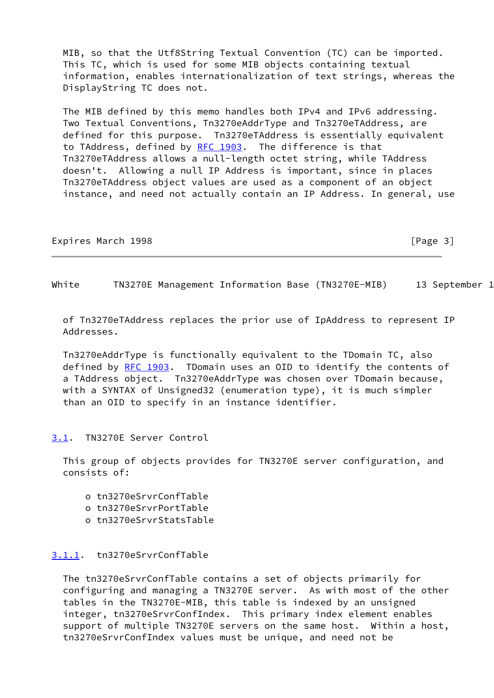MIB, so that the Utf8String Textual Convention (TC) can be imported. This TC, which is used for some MIB objects containing textual information, enables internationalization of text strings, whereas the DisplayString TC does not.

 The MIB defined by this memo handles both IPv4 and IPv6 addressing. Two Textual Conventions, Tn3270eAddrType and Tn3270eTAddress, are defined for this purpose. Tn3270eTAddress is essentially equivalent to TAddress, defined by [RFC 1903.](https://datatracker.ietf.org/doc/pdf/rfc1903) The difference is that Tn3270eTAddress allows a null-length octet string, while TAddress doesn't. Allowing a null IP Address is important, since in places Tn3270eTAddress object values are used as a component of an object instance, and need not actually contain an IP Address. In general, use

Expires March 1998 **Expires March 1998 Expires March 2018** 

<span id="page-3-1"></span>White TN3270E Management Information Base (TN3270E-MIB) 13 September 1

 of Tn3270eTAddress replaces the prior use of IpAddress to represent IP Addresses.

 Tn3270eAddrType is functionally equivalent to the TDomain TC, also defined by [RFC 1903](https://datatracker.ietf.org/doc/pdf/rfc1903). TDomain uses an OID to identify the contents of a TAddress object. Tn3270eAddrType was chosen over TDomain because, with a SYNTAX of Unsigned32 (enumeration type), it is much simpler than an OID to specify in an instance identifier.

#### <span id="page-3-0"></span>[3.1](#page-3-0). TN3270E Server Control

 This group of objects provides for TN3270E server configuration, and consists of:

- o tn3270eSrvrConfTable
- o tn3270eSrvrPortTable
- o tn3270eSrvrStatsTable

## <span id="page-3-2"></span>[3.1.1](#page-3-2). tn3270eSrvrConfTable

 The tn3270eSrvrConfTable contains a set of objects primarily for configuring and managing a TN3270E server. As with most of the other tables in the TN3270E-MIB, this table is indexed by an unsigned integer, tn3270eSrvrConfIndex. This primary index element enables support of multiple TN3270E servers on the same host. Within a host, tn3270eSrvrConfIndex values must be unique, and need not be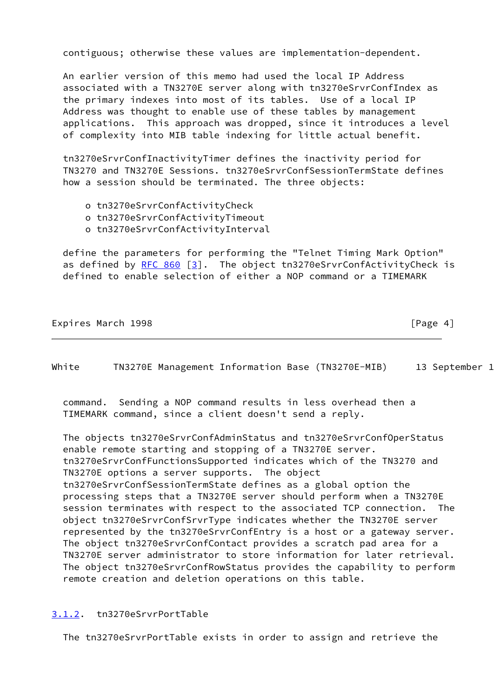contiguous; otherwise these values are implementation-dependent.

 An earlier version of this memo had used the local IP Address associated with a TN3270E server along with tn3270eSrvrConfIndex as the primary indexes into most of its tables. Use of a local IP Address was thought to enable use of these tables by management applications. This approach was dropped, since it introduces a level of complexity into MIB table indexing for little actual benefit.

 tn3270eSrvrConfInactivityTimer defines the inactivity period for TN3270 and TN3270E Sessions. tn3270eSrvrConfSessionTermState defines how a session should be terminated. The three objects:

- o tn3270eSrvrConfActivityCheck
- o tn3270eSrvrConfActivityTimeout
- o tn3270eSrvrConfActivityInterval

 define the parameters for performing the "Telnet Timing Mark Option" as defined by [RFC 860](https://datatracker.ietf.org/doc/pdf/rfc860) [\[3\]](#page-41-6). The object tn3270eSrvrConfActivityCheck is defined to enable selection of either a NOP command or a TIMEMARK

Expires March 1998 **Expires March** 1998

<span id="page-4-1"></span>White TN3270E Management Information Base (TN3270E-MIB) 13 September 1

 command. Sending a NOP command results in less overhead then a TIMEMARK command, since a client doesn't send a reply.

 The objects tn3270eSrvrConfAdminStatus and tn3270eSrvrConfOperStatus enable remote starting and stopping of a TN3270E server. tn3270eSrvrConfFunctionsSupported indicates which of the TN3270 and TN3270E options a server supports. The object tn3270eSrvrConfSessionTermState defines as a global option the processing steps that a TN3270E server should perform when a TN3270E session terminates with respect to the associated TCP connection. The object tn3270eSrvrConfSrvrType indicates whether the TN3270E server represented by the tn3270eSrvrConfEntry is a host or a gateway server. The object tn3270eSrvrConfContact provides a scratch pad area for a TN3270E server administrator to store information for later retrieval. The object tn3270eSrvrConfRowStatus provides the capability to perform remote creation and deletion operations on this table.

## <span id="page-4-0"></span>[3.1.2](#page-4-0). tn3270eSrvrPortTable

The tn3270eSrvrPortTable exists in order to assign and retrieve the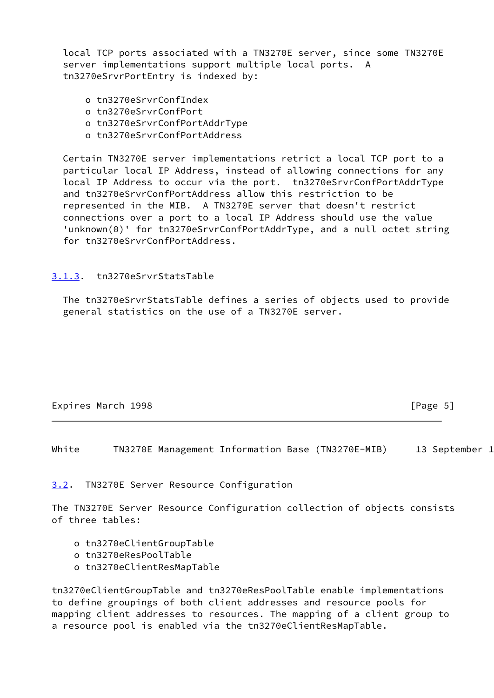local TCP ports associated with a TN3270E server, since some TN3270E server implementations support multiple local ports. A tn3270eSrvrPortEntry is indexed by:

- o tn3270eSrvrConfIndex
- o tn3270eSrvrConfPort
- o tn3270eSrvrConfPortAddrType
- o tn3270eSrvrConfPortAddress

 Certain TN3270E server implementations retrict a local TCP port to a particular local IP Address, instead of allowing connections for any local IP Address to occur via the port. tn3270eSrvrConfPortAddrType and tn3270eSrvrConfPortAddress allow this restriction to be represented in the MIB. A TN3270E server that doesn't restrict connections over a port to a local IP Address should use the value 'unknown(0)' for tn3270eSrvrConfPortAddrType, and a null octet string for tn3270eSrvrConfPortAddress.

## <span id="page-5-0"></span>[3.1.3](#page-5-0). tn3270eSrvrStatsTable

 The tn3270eSrvrStatsTable defines a series of objects used to provide general statistics on the use of a TN3270E server.

| Expires March 1998 |  |  |
|--------------------|--|--|
|--------------------|--|--|

 $[Page 5]$ 

<span id="page-5-2"></span>White TN3270E Management Information Base (TN3270E-MIB) 13 September 1

<span id="page-5-1"></span>[3.2](#page-5-1). TN3270E Server Resource Configuration

The TN3270E Server Resource Configuration collection of objects consists of three tables:

- o tn3270eClientGroupTable
- o tn3270eResPoolTable
- o tn3270eClientResMapTable

tn3270eClientGroupTable and tn3270eResPoolTable enable implementations to define groupings of both client addresses and resource pools for mapping client addresses to resources. The mapping of a client group to a resource pool is enabled via the tn3270eClientResMapTable.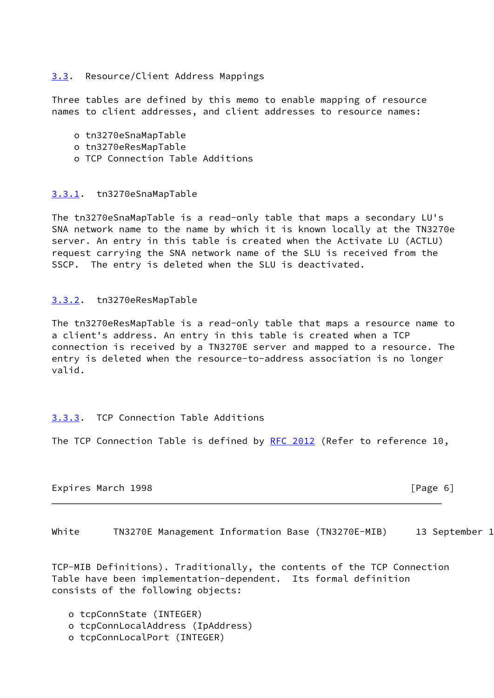## <span id="page-6-0"></span>[3.3](#page-6-0). Resource/Client Address Mappings

Three tables are defined by this memo to enable mapping of resource names to client addresses, and client addresses to resource names:

- o tn3270eSnaMapTable
- o tn3270eResMapTable
- o TCP Connection Table Additions

## <span id="page-6-1"></span>[3.3.1](#page-6-1). tn3270eSnaMapTable

The tn3270eSnaMapTable is a read-only table that maps a secondary LU's SNA network name to the name by which it is known locally at the TN3270e server. An entry in this table is created when the Activate LU (ACTLU) request carrying the SNA network name of the SLU is received from the SSCP. The entry is deleted when the SLU is deactivated.

#### <span id="page-6-2"></span>[3.3.2](#page-6-2). tn3270eResMapTable

The tn3270eResMapTable is a read-only table that maps a resource name to a client's address. An entry in this table is created when a TCP connection is received by a TN3270E server and mapped to a resource. The entry is deleted when the resource-to-address association is no longer valid.

## <span id="page-6-3"></span>[3.3.3](#page-6-3). TCP Connection Table Additions

The TCP Connection Table is defined by [RFC 2012](https://datatracker.ietf.org/doc/pdf/rfc2012) (Refer to reference 10,

Expires March 1998 **Expires March 1998 Expires March 2018** 

<span id="page-6-4"></span>White TN3270E Management Information Base (TN3270E-MIB) 13 September 1

TCP-MIB Definitions). Traditionally, the contents of the TCP Connection Table have been implementation-dependent. Its formal definition consists of the following objects:

- o tcpConnState (INTEGER)
- o tcpConnLocalAddress (IpAddress)
- o tcpConnLocalPort (INTEGER)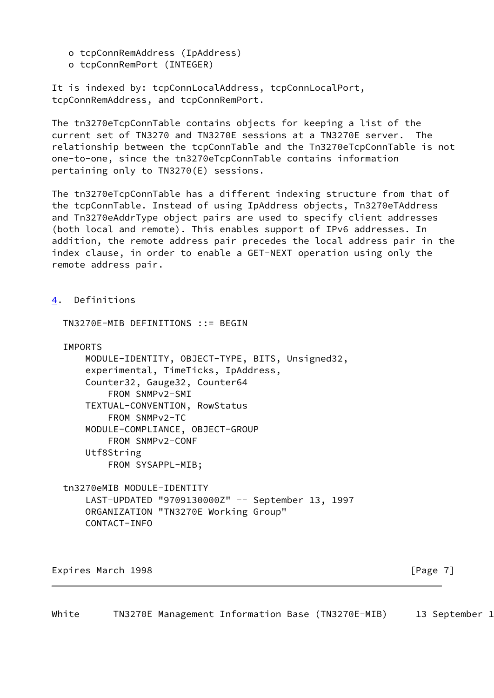o tcpConnRemAddress (IpAddress)

TN3270E-MIB DEFINITIONS ::= BEGIN

o tcpConnRemPort (INTEGER)

It is indexed by: tcpConnLocalAddress, tcpConnLocalPort, tcpConnRemAddress, and tcpConnRemPort.

The tn3270eTcpConnTable contains objects for keeping a list of the current set of TN3270 and TN3270E sessions at a TN3270E server. The relationship between the tcpConnTable and the Tn3270eTcpConnTable is not one-to-one, since the tn3270eTcpConnTable contains information pertaining only to TN3270(E) sessions.

The tn3270eTcpConnTable has a different indexing structure from that of the tcpConnTable. Instead of using IpAddress objects, Tn3270eTAddress and Tn3270eAddrType object pairs are used to specify client addresses (both local and remote). This enables support of IPv6 addresses. In addition, the remote address pair precedes the local address pair in the index clause, in order to enable a GET-NEXT operation using only the remote address pair.

<span id="page-7-0"></span>[4](#page-7-0). Definitions

 IMPORTS MODULE-IDENTITY, OBJECT-TYPE, BITS, Unsigned32, experimental, TimeTicks, IpAddress, Counter32, Gauge32, Counter64 FROM SNMPv2-SMI TEXTUAL-CONVENTION, RowStatus FROM SNMPv2-TC MODULE-COMPLIANCE, OBJECT-GROUP FROM SNMPv2-CONF Utf8String FROM SYSAPPL-MIB;

 tn3270eMIB MODULE-IDENTITY LAST-UPDATED "9709130000Z" -- September 13, 1997 ORGANIZATION "TN3270E Working Group" CONTACT-INFO

Expires March 1998 **Expires** March 1998

White TN3270E Management Information Base (TN3270E-MIB) 13 September 1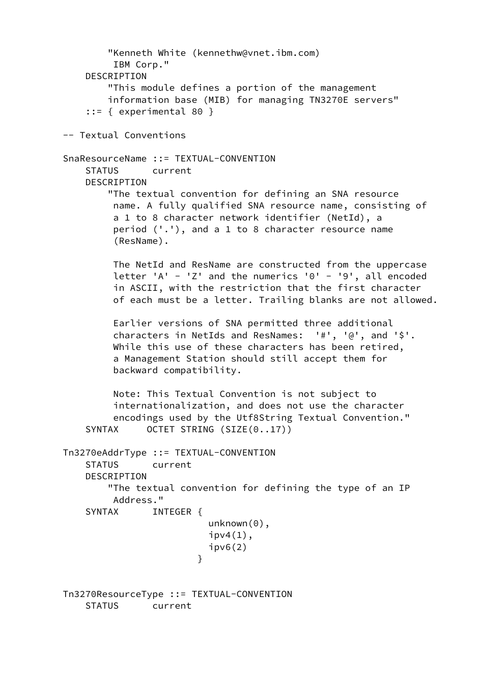```
 "Kenneth White (kennethw@vnet.ibm.com)
           IBM Corp."
      DESCRIPTION
          "This module defines a portion of the management
          information base (MIB) for managing TN3270E servers"
      ::= { experimental 80 }
  -- Textual Conventions
  SnaResourceName ::= TEXTUAL-CONVENTION
      STATUS current
      DESCRIPTION
           "The textual convention for defining an SNA resource
           name. A fully qualified SNA resource name, consisting of
           a 1 to 8 character network identifier (NetId), a
           period ('.'), and a 1 to 8 character resource name
           (ResName).
           The NetId and ResName are constructed from the uppercase
          letter 'A' - 'Z' and the numerics '0' - '9', all encoded
           in ASCII, with the restriction that the first character
           of each must be a letter. Trailing blanks are not allowed.
           Earlier versions of SNA permitted three additional
           characters in NetIds and ResNames: '#', '@', and '$'.
           While this use of these characters has been retired,
           a Management Station should still accept them for
           backward compatibility.
           Note: This Textual Convention is not subject to
           internationalization, and does not use the character
           encodings used by the Utf8String Textual Convention."
     SYNTAX OCTET STRING (SIZE(0..17))
  Tn3270eAddrType ::= TEXTUAL-CONVENTION
      STATUS current
      DESCRIPTION
           "The textual convention for defining the type of an IP
           Address."
     SYNTAX INTEGER {
                           unknown(0),
                           ipv4(1),
                           ipv6(2) }
  Tn3270ResourceType ::= TEXTUAL-CONVENTION
      STATUS current
```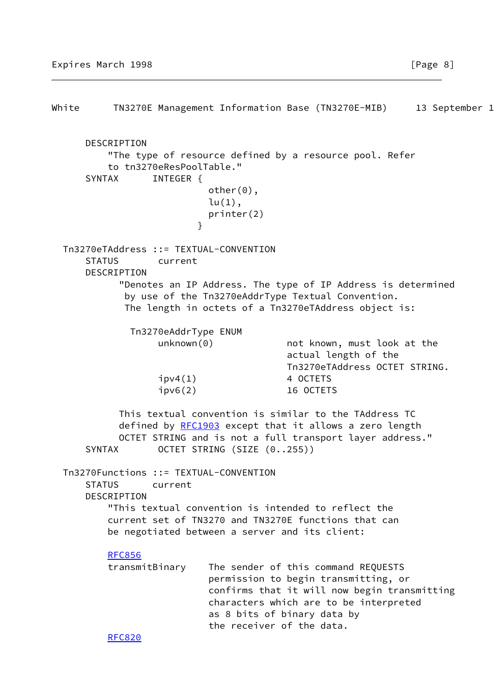White TN3270E Management Information Base (TN3270E-MIB) 13 September 1 DESCRIPTION "The type of resource defined by a resource pool. Refer to tn3270eResPoolTable." SYNTAX INTEGER { other(0),  $lu(1)$ , printer(2) } Tn3270eTAddress ::= TEXTUAL-CONVENTION STATUS current DESCRIPTION "Denotes an IP Address. The type of IP Address is determined by use of the Tn3270eAddrType Textual Convention. The length in octets of a Tn3270eTAddress object is: Tn3270eAddrType ENUM unknown(0) mot known, must look at the actual length of the Tn3270eTAddress OCTET STRING.  $ipv4(1)$  4 OCTETS ipv6(2) 16 OCTETS This textual convention is similar to the TAddress TC defined by [RFC1903](https://datatracker.ietf.org/doc/pdf/rfc1903) except that it allows a zero length OCTET STRING and is not a full transport layer address." SYNTAX OCTET STRING (SIZE (0..255)) Tn3270Functions ::= TEXTUAL-CONVENTION STATUS current DESCRIPTION "This textual convention is intended to reflect the current set of TN3270 and TN3270E functions that can be negotiated between a server and its client: [RFC856](https://datatracker.ietf.org/doc/pdf/rfc856) transmitBinary The sender of this command REQUESTS permission to begin transmitting, or confirms that it will now begin transmitting characters which are to be interpreted as 8 bits of binary data by the receiver of the data. [RFC820](https://datatracker.ietf.org/doc/pdf/rfc820)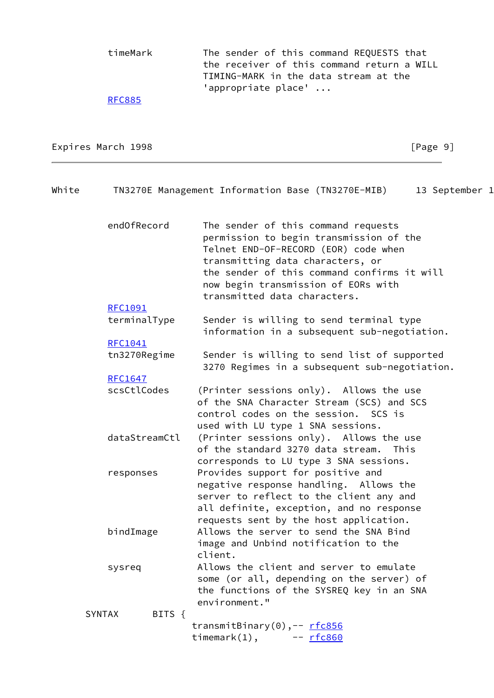timeMark The sender of this command REQUESTS that the receiver of this command return a WILL TIMING-MARK in the data stream at the 'appropriate place' ...

#### [RFC885](https://datatracker.ietf.org/doc/pdf/rfc885)

Expires March 1998 **Expires** March 1998

| White | TN3270E Management Information Base (TN3270E-MIB)<br>13 September 1 |                                                                                                                                                                                                                                                  |  |  |  |  |  |
|-------|---------------------------------------------------------------------|--------------------------------------------------------------------------------------------------------------------------------------------------------------------------------------------------------------------------------------------------|--|--|--|--|--|
|       | end0fRecord                                                         | The sender of this command requests<br>permission to begin transmission of the<br>Telnet END-OF-RECORD (EOR) code when<br>transmitting data characters, or<br>the sender of this command confirms it will<br>now begin transmission of EORs with |  |  |  |  |  |
|       |                                                                     | transmitted data characters.                                                                                                                                                                                                                     |  |  |  |  |  |
|       | RFC1091                                                             |                                                                                                                                                                                                                                                  |  |  |  |  |  |
|       | terminalType                                                        | Sender is willing to send terminal type<br>information in a subsequent sub-negotiation.                                                                                                                                                          |  |  |  |  |  |
|       | RFC1041                                                             |                                                                                                                                                                                                                                                  |  |  |  |  |  |
|       | tn3270Regime                                                        | Sender is willing to send list of supported<br>3270 Regimes in a subsequent sub-negotiation.                                                                                                                                                     |  |  |  |  |  |
|       | RFC1647                                                             |                                                                                                                                                                                                                                                  |  |  |  |  |  |
|       | scsCtlCodes                                                         | (Printer sessions only). Allows the use<br>of the SNA Character Stream (SCS) and SCS<br>control codes on the session. SCS is<br>used with LU type 1 SNA sessions.                                                                                |  |  |  |  |  |
|       | dataStreamCtl                                                       | (Printer sessions only). Allows the use<br>of the standard 3270 data stream.<br>This<br>corresponds to LU type 3 SNA sessions.                                                                                                                   |  |  |  |  |  |
|       | responses                                                           | Provides support for positive and<br>negative response handling. Allows the<br>server to reflect to the client any and<br>all definite, exception, and no response<br>requests sent by the host application.                                     |  |  |  |  |  |
|       | bindImage                                                           | Allows the server to send the SNA Bind<br>image and Unbind notification to the<br>client.                                                                                                                                                        |  |  |  |  |  |
|       | sysreq                                                              | Allows the client and server to emulate<br>some (or all, depending on the server) of<br>the functions of the SYSREQ key in an SNA<br>environment."                                                                                               |  |  |  |  |  |
|       | BITS $\{$<br><b>SYNTAX</b>                                          |                                                                                                                                                                                                                                                  |  |  |  |  |  |
|       |                                                                     | transmitBinary(0),-- rfc856<br>$t$ imemark $(1)$ , $ rfc860$                                                                                                                                                                                     |  |  |  |  |  |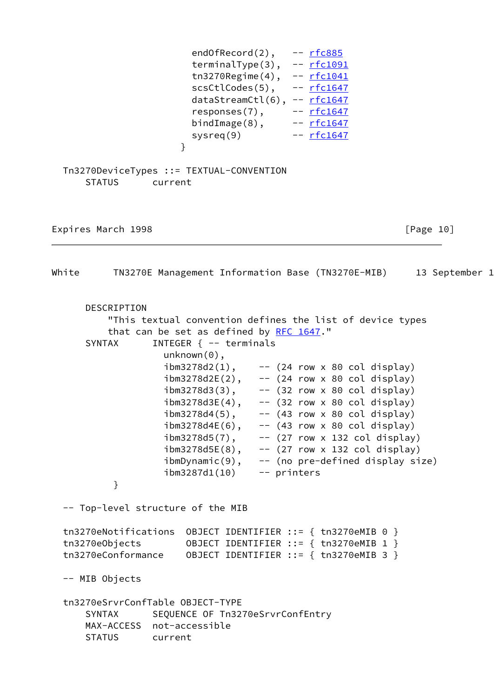|                                                                                  | endOfRecord $(2)$ , -- $rfc885$<br>terminalType(3), -- rfc1091<br>tn3270Regime $(4)$ , -- $rfc1041$<br>$scstlcodes(5), -- rfc1647$<br>$dataStreamCut(6), -- rfc1647$<br>responses $(7)$ , -- $rfc1647$<br>bindImage $(8)$ , $ rfc1647$<br>system(9)<br>}                                                                                                                                                                                                                                                                                                                                                                                                      | -- <u>rfc1647</u>                                                                                                          |                                |
|----------------------------------------------------------------------------------|---------------------------------------------------------------------------------------------------------------------------------------------------------------------------------------------------------------------------------------------------------------------------------------------------------------------------------------------------------------------------------------------------------------------------------------------------------------------------------------------------------------------------------------------------------------------------------------------------------------------------------------------------------------|----------------------------------------------------------------------------------------------------------------------------|--------------------------------|
| <b>STATUS</b>                                                                    | Tn3270DeviceTypes ::= TEXTUAL-CONVENTION<br>current                                                                                                                                                                                                                                                                                                                                                                                                                                                                                                                                                                                                           |                                                                                                                            |                                |
| Expires March 1998                                                               |                                                                                                                                                                                                                                                                                                                                                                                                                                                                                                                                                                                                                                                               |                                                                                                                            | $\lceil \text{Page 10} \rceil$ |
| White                                                                            | TN3270E Management Information Base (TN3270E-MIB) 13 September 1                                                                                                                                                                                                                                                                                                                                                                                                                                                                                                                                                                                              |                                                                                                                            |                                |
| DESCRIPTION<br>SYNTAX<br>}                                                       | "This textual convention defines the list of device types<br>that can be set as defined by RFC 1647."<br>INTEGER $\{- -$ terminals<br>$unknown(0)$ ,<br>$ibm3278d2(1)$ , -- (24 row x 80 col display)<br>$ibm3278d2E(2)$ , -- (24 row x 80 col display)<br>$ibm3278d3(3)$ , -- (32 row x 80 col display)<br>$ibm3278d3E(4)$ , -- $(32 row \times 80 col display)$ display)<br>$ibm3278d4(5)$ ,<br>$ibm3278d4E(6)$ , -- $(43 row \times 80 col display)$ display)<br>$ibm3278d5(7)$ , -- $(27 row x 132 col display)$<br>$ibm3278d5E(8)$ , -- (27 row x 132 col display)<br>$ibmDynamic(9)$ , -- (no pre-defined display size)<br>ibm3287d1(10)<br>-- printers | -- (43 row x 80 col display)                                                                                               |                                |
| -- Top-level structure of the MIB                                                |                                                                                                                                                                                                                                                                                                                                                                                                                                                                                                                                                                                                                                                               |                                                                                                                            |                                |
| tn3270eNotifications<br>tn3270eObjects<br>tn3270eConformance                     |                                                                                                                                                                                                                                                                                                                                                                                                                                                                                                                                                                                                                                                               | OBJECT IDENTIFIER ::= { tn3270eMIB 0 }<br>OBJECT IDENTIFIER ::= { tn3270eMIB 1 }<br>OBJECT IDENTIFIER ::= { tn3270eMIB 3 } |                                |
| -- MIB Objects                                                                   |                                                                                                                                                                                                                                                                                                                                                                                                                                                                                                                                                                                                                                                               |                                                                                                                            |                                |
| tn3270eSrvrConfTable OBJECT-TYPE<br><b>SYNTAX</b><br>MAX-ACCESS<br><b>STATUS</b> | SEQUENCE OF Tn3270eSrvrConfEntry<br>not-accessible<br>current                                                                                                                                                                                                                                                                                                                                                                                                                                                                                                                                                                                                 |                                                                                                                            |                                |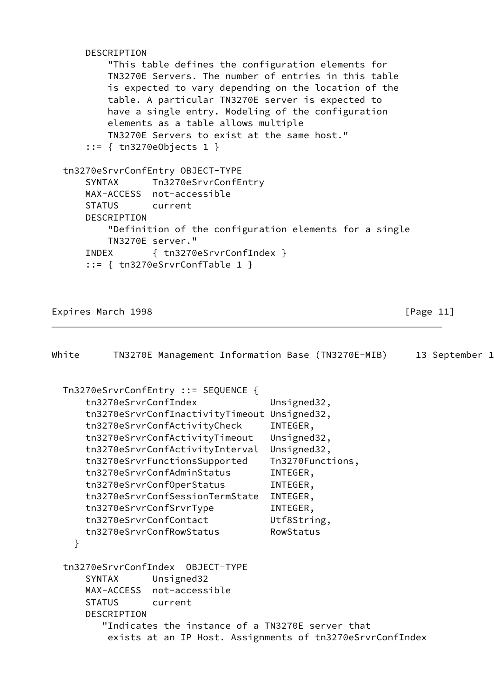| DESCRIPTION                                            |
|--------------------------------------------------------|
| "This table defines the configuration elements for     |
| TN3270E Servers. The number of entries in this table   |
| is expected to vary depending on the location of the   |
| table. A particular TN3270E server is expected to      |
| have a single entry. Modeling of the configuration     |
| elements as a table allows multiple                    |
| TN3270E Servers to exist at the same host."            |
| $::= \{ \text{tn3270eObjects } 1 \}$                   |
|                                                        |
| tn3270eSrvrConfEntry OBJECT-TYPE                       |
| SYNTAX Tn3270eSrvrConfEntry                            |
| MAX-ACCESS not-accessible                              |
| STATUS current                                         |
| DESCRIPTION                                            |
| "Definition of the configuration elements for a single |
| TN3270E server."                                       |
| INDEX { tn3270eSrvrConfIndex }                         |
| $::= \{$ tn3270eSrvrConfTable 1 }                      |
|                                                        |

Expires March 1998 **Expires** March 1998

| White | TN3270E Management Information Base (TN3270E-MIB)                                                                                                                                                                                                                                                                                                                                                                    |                                                                                                                                                                      | 13 September 1 |
|-------|----------------------------------------------------------------------------------------------------------------------------------------------------------------------------------------------------------------------------------------------------------------------------------------------------------------------------------------------------------------------------------------------------------------------|----------------------------------------------------------------------------------------------------------------------------------------------------------------------|----------------|
| }     | Tn3270eSrvrConfEntry ::= SEQUENCE {<br>tn3270eSrvrConfIndex<br>tn3270eSrvrConfInactivityTimeout<br>tn3270eSrvrConfActivityCheck<br>tn3270eSrvrConfActivityTimeout<br>tn3270eSrvrConfActivityInterval<br>tn3270eSrvrFunctionsSupported<br>tn3270eSrvrConfAdminStatus<br>tn3270eSrvrConfOperStatus<br>tn3270eSrvrConfSessionTermState<br>tn3270eSrvrConfSrvrType<br>tn3270eSrvrConfContact<br>tn3270eSrvrConfRowStatus | Unsigned32,<br>Unsigned32,<br>INTEGER,<br>Unsigned32,<br>Unsigned32,<br>Tn3270Functions,<br>INTEGER,<br>INTEGER,<br>INTEGER,<br>INTEGER,<br>Utf8String,<br>RowStatus |                |
|       | Unsigned32<br>SYNTAX<br>MAX-ACCESS not-accessible<br><b>STATUS</b><br>current<br><b>DESCRIPTION</b><br>"Indicates the instance of a TN3270E server that<br>exists at an IP Host. Assignments of tn3270eSrvrConfIndex                                                                                                                                                                                                 |                                                                                                                                                                      |                |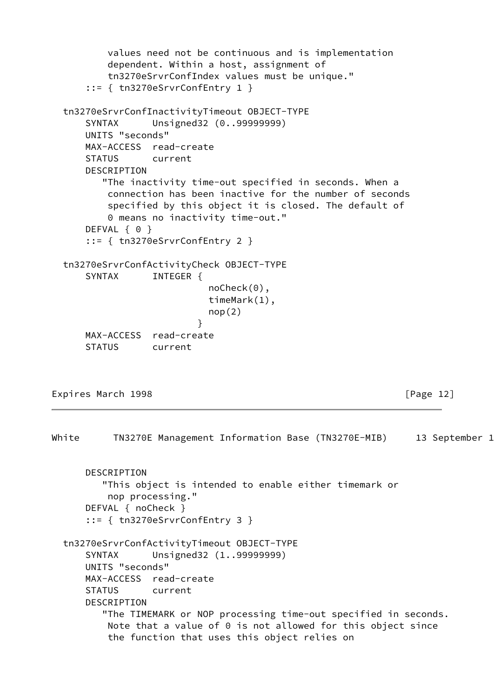```
 values need not be continuous and is implementation
          dependent. Within a host, assignment of
          tn3270eSrvrConfIndex values must be unique."
      ::= { tn3270eSrvrConfEntry 1 }
  tn3270eSrvrConfInactivityTimeout OBJECT-TYPE
      SYNTAX Unsigned32 (0..99999999)
      UNITS "seconds"
      MAX-ACCESS read-create
      STATUS current
      DESCRIPTION
         "The inactivity time-out specified in seconds. When a
          connection has been inactive for the number of seconds
          specified by this object it is closed. The default of
          0 means no inactivity time-out."
     DEFVAL { 0 }
      ::= { tn3270eSrvrConfEntry 2 }
  tn3270eSrvrConfActivityCheck OBJECT-TYPE
     SYNTAX INTEGER {
                            noCheck(0),
                            timeMark(1),
                           nop(2) }
      MAX-ACCESS read-create
      STATUS current
```
Expires March 1998 **Expires** March 1998

White TN3270E Management Information Base (TN3270E-MIB) 13 September 1 DESCRIPTION "This object is intended to enable either timemark or nop processing." DEFVAL { noCheck } ::= { tn3270eSrvrConfEntry 3 } tn3270eSrvrConfActivityTimeout OBJECT-TYPE SYNTAX Unsigned32 (1..99999999) UNITS "seconds" MAX-ACCESS read-create STATUS current DESCRIPTION "The TIMEMARK or NOP processing time-out specified in seconds. Note that a value of 0 is not allowed for this object since the function that uses this object relies on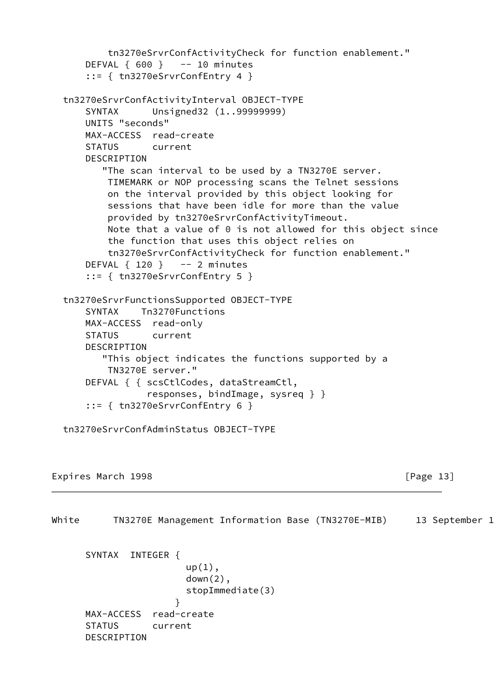```
 tn3270eSrvrConfActivityCheck for function enablement."
     DEFVAL { 600 } -- 10 minutes
     ::= { tn3270eSrvrConfEntry 4 }
 tn3270eSrvrConfActivityInterval OBJECT-TYPE
     SYNTAX Unsigned32 (1..99999999)
     UNITS "seconds"
     MAX-ACCESS read-create
     STATUS current
    DESCRIPTION
        "The scan interval to be used by a TN3270E server.
         TIMEMARK or NOP processing scans the Telnet sessions
         on the interval provided by this object looking for
         sessions that have been idle for more than the value
         provided by tn3270eSrvrConfActivityTimeout.
         Note that a value of 0 is not allowed for this object since
         the function that uses this object relies on
         tn3270eSrvrConfActivityCheck for function enablement."
    DEFVAL \{ 120 \} -- 2 minutes
     ::= { tn3270eSrvrConfEntry 5 }
 tn3270eSrvrFunctionsSupported OBJECT-TYPE
     SYNTAX Tn3270Functions
     MAX-ACCESS read-only
     STATUS current
     DESCRIPTION
        "This object indicates the functions supported by a
         TN3270E server."
     DEFVAL { { scsCtlCodes, dataStreamCtl,
                responses, bindImage, sysreq } }
     ::= { tn3270eSrvrConfEntry 6 }
 tn3270eSrvrConfAdminStatus OBJECT-TYPE
```

```
Expires March 1998 Expires March 1998 Expires March 2018
```
White TN3270E Management Information Base (TN3270E-MIB) 13 September 1

 SYNTAX INTEGER {  $up(1)$ ,  $down(2)$ , stopImmediate(3) } MAX-ACCESS read-create STATUS current DESCRIPTION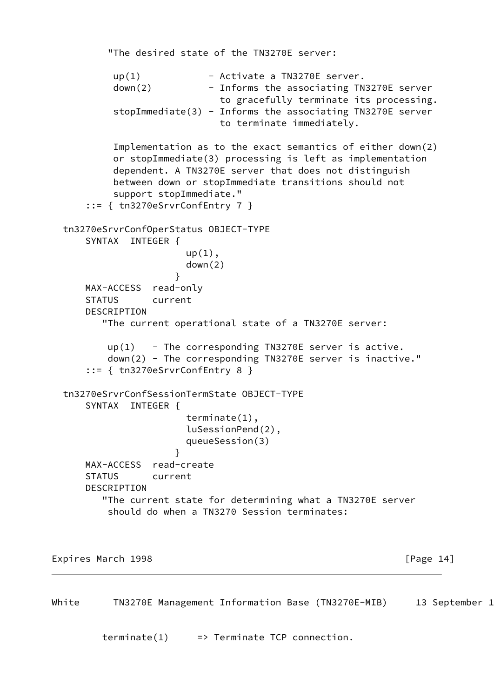```
 "The desired state of the TN3270E server:
          up(1) - Activate a TN3270E server.
          down(2) - Informs the associating TN3270E server
                             to gracefully terminate its processing.
           stopImmediate(3) - Informs the associating TN3270E server
                             to terminate immediately.
           Implementation as to the exact semantics of either down(2)
           or stopImmediate(3) processing is left as implementation
           dependent. A TN3270E server that does not distinguish
           between down or stopImmediate transitions should not
           support stopImmediate."
      ::= { tn3270eSrvrConfEntry 7 }
  tn3270eSrvrConfOperStatus OBJECT-TYPE
      SYNTAX INTEGER {
                       up(1),
                        down(2)
 }
      MAX-ACCESS read-only
      STATUS current
      DESCRIPTION
         "The current operational state of a TN3270E server:
         up(1) - The corresponding TN3270E server is active.
          down(2) - The corresponding TN3270E server is inactive."
      ::= { tn3270eSrvrConfEntry 8 }
  tn3270eSrvrConfSessionTermState OBJECT-TYPE
      SYNTAX INTEGER {
                        terminate(1),
                        luSessionPend(2),
                        queueSession(3)
 }
      MAX-ACCESS read-create
      STATUS current
      DESCRIPTION
         "The current state for determining what a TN3270E server
          should do when a TN3270 Session terminates:
```
Expires March 1998 **Expires** March 1998 **and Accord 2018** [Page 14]

White TN3270E Management Information Base (TN3270E-MIB) 13 September 1

 $\text{terminate}(1)$  => Terminate TCP connection.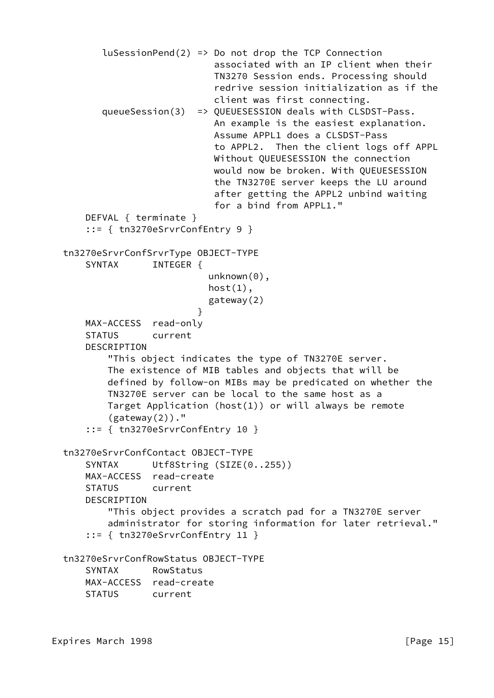```
luSessionPend(2) => Do not drop the TCP Connection
                             associated with an IP client when their
                             TN3270 Session ends. Processing should
                             redrive session initialization as if the
                             client was first connecting.
         queueSession(3) => QUEUESESSION deals with CLSDST-Pass.
                             An example is the easiest explanation.
                             Assume APPL1 does a CLSDST-Pass
                             to APPL2. Then the client logs off APPL
                             Without QUEUESESSION the connection
                             would now be broken. With QUEUESESSION
                             the TN3270E server keeps the LU around
                             after getting the APPL2 unbind waiting
                             for a bind from APPL1."
      DEFVAL { terminate }
      ::= { tn3270eSrvrConfEntry 9 }
  tn3270eSrvrConfSrvrType OBJECT-TYPE
     SYNTAX INTEGER {
                           unknown(0),
                           host(1),
                            gateway(2)
 }
      MAX-ACCESS read-only
      STATUS current
      DESCRIPTION
          "This object indicates the type of TN3270E server.
          The existence of MIB tables and objects that will be
          defined by follow-on MIBs may be predicated on whether the
          TN3270E server can be local to the same host as a
          Target Application (host(1)) or will always be remote
          (gateway(2))."
       ::= { tn3270eSrvrConfEntry 10 }
  tn3270eSrvrConfContact OBJECT-TYPE
     SYNTAX Utf8String (SIZE(0..255))
      MAX-ACCESS read-create
      STATUS current
      DESCRIPTION
           "This object provides a scratch pad for a TN3270E server
          administrator for storing information for later retrieval."
      ::= { tn3270eSrvrConfEntry 11 }
  tn3270eSrvrConfRowStatus OBJECT-TYPE
      SYNTAX RowStatus
      MAX-ACCESS read-create
      STATUS current
```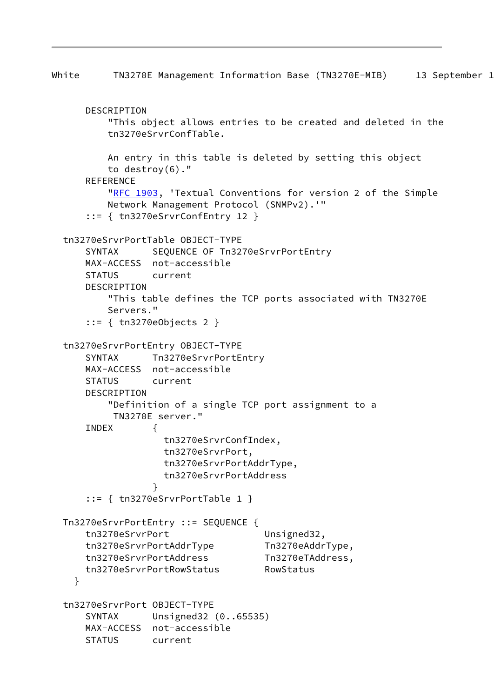```
White TN3270E Management Information Base (TN3270E-MIB) 13 September 1
      DESCRIPTION
          "This object allows entries to be created and deleted in the
          tn3270eSrvrConfTable.
          An entry in this table is deleted by setting this object
          to destroy(6)."
      REFERENCE
         "RFC 1903, 'Textual Conventions for version 2 of the Simple
          Network Management Protocol (SNMPv2).'"
      ::= { tn3270eSrvrConfEntry 12 }
  tn3270eSrvrPortTable OBJECT-TYPE
      SYNTAX SEQUENCE OF Tn3270eSrvrPortEntry
      MAX-ACCESS not-accessible
      STATUS current
      DESCRIPTION
          "This table defines the TCP ports associated with TN3270E
          Servers."
      ::= { tn3270eObjects 2 }
  tn3270eSrvrPortEntry OBJECT-TYPE
     SYNTAX Tn3270eSrvrPortEntry
      MAX-ACCESS not-accessible
      STATUS current
      DESCRIPTION
          "Definition of a single TCP port assignment to a
           TN3270E server."
      INDEX {
                    tn3270eSrvrConfIndex,
                    tn3270eSrvrPort,
                    tn3270eSrvrPortAddrType,
                    tn3270eSrvrPortAddress
 }
       ::= { tn3270eSrvrPortTable 1 }
  Tn3270eSrvrPortEntry ::= SEQUENCE {
     tn3270eSrvrPort Unsigned32,
      tn3270eSrvrPortAddrType Tn3270eAddrType,
      tn3270eSrvrPortAddress Tn3270eTAddress,
      tn3270eSrvrPortRowStatus RowStatus
    }
  tn3270eSrvrPort OBJECT-TYPE
      SYNTAX Unsigned32 (0..65535)
      MAX-ACCESS not-accessible
      STATUS current
```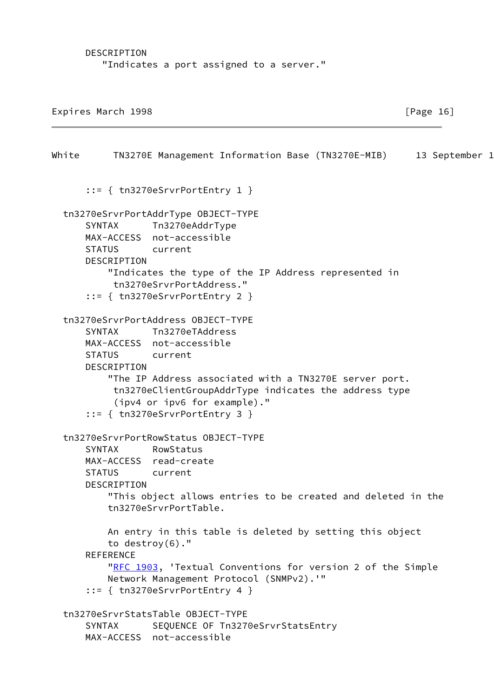DESCRIPTION "Indicates a port assigned to a server."

Expires March 1998 **Expires** March 1998

White TN3270E Management Information Base (TN3270E-MIB) 13 September 1 ::= { tn3270eSrvrPortEntry 1 } tn3270eSrvrPortAddrType OBJECT-TYPE SYNTAX Tn3270eAddrType MAX-ACCESS not-accessible STATUS current DESCRIPTION "Indicates the type of the IP Address represented in tn3270eSrvrPortAddress." ::= { tn3270eSrvrPortEntry 2 } tn3270eSrvrPortAddress OBJECT-TYPE SYNTAX Tn3270eTAddress MAX-ACCESS not-accessible STATUS current DESCRIPTION "The IP Address associated with a TN3270E server port. tn3270eClientGroupAddrType indicates the address type (ipv4 or ipv6 for example)." ::= { tn3270eSrvrPortEntry 3 } tn3270eSrvrPortRowStatus OBJECT-TYPE SYNTAX RowStatus MAX-ACCESS read-create STATUS current DESCRIPTION "This object allows entries to be created and deleted in the tn3270eSrvrPortTable. An entry in this table is deleted by setting this object to destroy(6)." REFERENCE ["RFC 1903](https://datatracker.ietf.org/doc/pdf/rfc1903), 'Textual Conventions for version 2 of the Simple Network Management Protocol (SNMPv2).'" ::= { tn3270eSrvrPortEntry 4 } tn3270eSrvrStatsTable OBJECT-TYPE SYNTAX SEQUENCE OF Tn3270eSrvrStatsEntry MAX-ACCESS not-accessible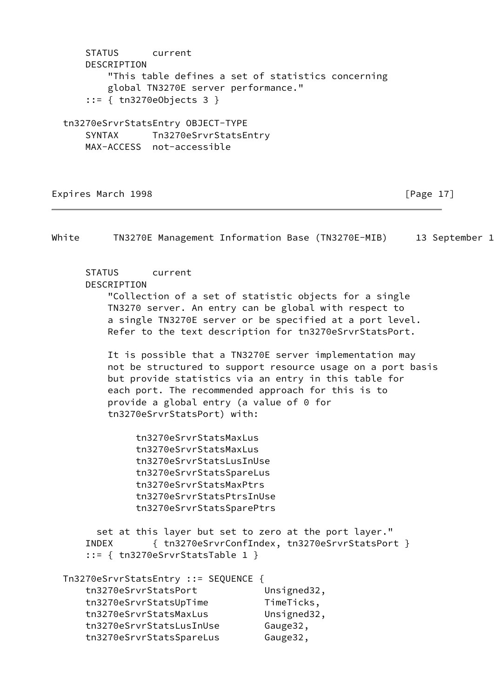STATUS current DESCRIPTION "This table defines a set of statistics concerning global TN3270E server performance." ::= { tn3270eObjects 3 } tn3270eSrvrStatsEntry OBJECT-TYPE SYNTAX Tn3270eSrvrStatsEntry

MAX-ACCESS not-accessible

Expires March 1998 **Expires** March 1998 **Expires** March 1998

White TN3270E Management Information Base (TN3270E-MIB) 13 September 1 STATUS current DESCRIPTION "Collection of a set of statistic objects for a single TN3270 server. An entry can be global with respect to a single TN3270E server or be specified at a port level. Refer to the text description for tn3270eSrvrStatsPort. It is possible that a TN3270E server implementation may not be structured to support resource usage on a port basis but provide statistics via an entry in this table for each port. The recommended approach for this is to provide a global entry (a value of 0 for tn3270eSrvrStatsPort) with: tn3270eSrvrStatsMaxLus tn3270eSrvrStatsMaxLus tn3270eSrvrStatsLusInUse tn3270eSrvrStatsSpareLus tn3270eSrvrStatsMaxPtrs tn3270eSrvrStatsPtrsInUse tn3270eSrvrStatsSparePtrs set at this layer but set to zero at the port layer." INDEX { tn3270eSrvrConfIndex, tn3270eSrvrStatsPort } ::= { tn3270eSrvrStatsTable 1 } Tn3270eSrvrStatsEntry ::= SEQUENCE { tn3270eSrvrStatsPort Unsigned32, tn3270eSrvrStatsUpTime TimeTicks, tn3270eSrvrStatsMaxLus Unsigned32, tn3270eSrvrStatsLusInUse Gauge32, tn3270eSrvrStatsSpareLus Gauge32,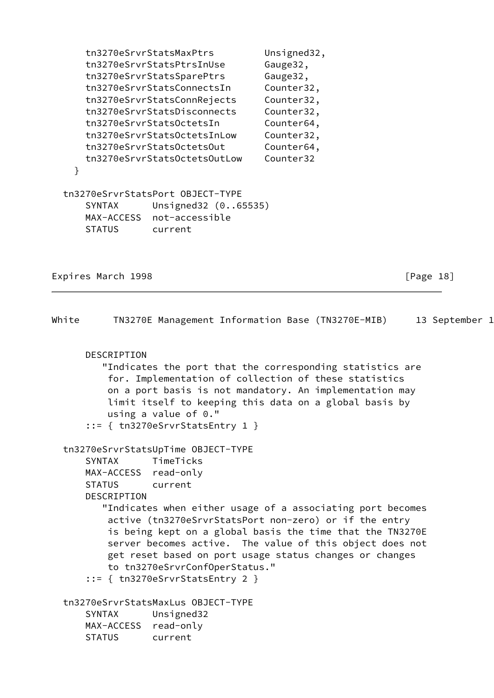tn3270eSrvrStatsMaxPtrs Unsigned32, tn3270eSrvrStatsPtrsInUse Gauge32, tn3270eSrvrStatsSparePtrs Gauge32, tn3270eSrvrStatsConnectsIn Counter32, tn3270eSrvrStatsConnRejects Counter32, tn3270eSrvrStatsDisconnects Counter32, tn3270eSrvrStatsOctetsIn Counter64, tn3270eSrvrStatsOctetsInLow Counter32, tn3270eSrvrStatsOctetsOut Counter64, tn3270eSrvrStatsOctetsOutLow Counter32 } tn3270eSrvrStatsPort OBJECT-TYPE SYNTAX Unsigned32 (0..65535) MAX-ACCESS not-accessible STATUS current

Expires March 1998 **Expires** March 1998 **and Accord 2018** [Page 18]

| White |                                                                       |                                                                                                                                   |  | TN3270E Management Information Base (TN3270E-MIB)                                                                                                                                                                                                                                                        | 13 September 1 |  |
|-------|-----------------------------------------------------------------------|-----------------------------------------------------------------------------------------------------------------------------------|--|----------------------------------------------------------------------------------------------------------------------------------------------------------------------------------------------------------------------------------------------------------------------------------------------------------|----------------|--|
|       | DESCRIPTION                                                           | using a value of $0.$ "<br>$::= \{tn3270eSrvrStatsEntry 1\}$                                                                      |  | "Indicates the port that the corresponding statistics are<br>for. Implementation of collection of these statistics<br>on a port basis is not mandatory. An implementation may<br>limit itself to keeping this data on a global basis by                                                                  |                |  |
|       | <b>SYNTAX</b><br>MAX-ACCESS read-only<br><b>STATUS</b><br>DESCRIPTION | tn3270eSrvrStatsUpTime OBJECT-TYPE<br>TimeTicks<br>current<br>to tn3270eSrvrConfOperStatus."<br>$::=$ { tn3270eSrvrStatsEntry 2 } |  | "Indicates when either usage of a associating port becomes<br>active (tn3270eSrvrStatsPort non-zero) or if the entry<br>is being kept on a global basis the time that the TN3270E<br>server becomes active. The value of this object does not<br>get reset based on port usage status changes or changes |                |  |
|       | <b>SYNTAX</b><br>MAX-ACCESS read-only<br><b>STATUS</b>                | tn3270eSrvrStatsMaxLus OBJECT-TYPE<br>Unsigned32<br>current                                                                       |  |                                                                                                                                                                                                                                                                                                          |                |  |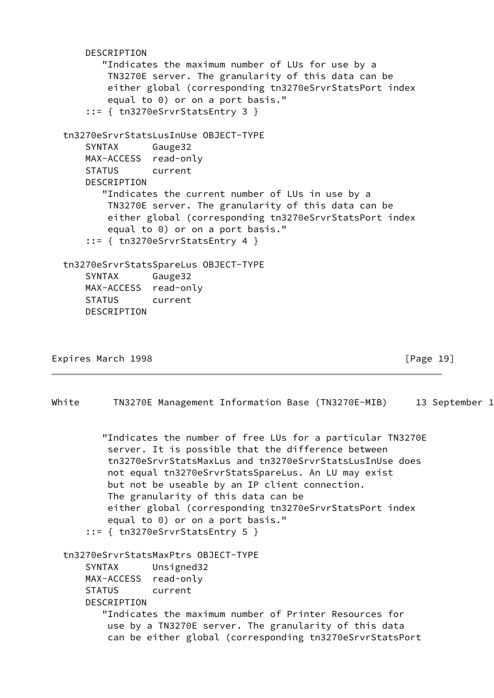```
 DESCRIPTION
        "Indicates the maximum number of LUs for use by a
         TN3270E server. The granularity of this data can be
         either global (corresponding tn3270eSrvrStatsPort index
         equal to 0) or on a port basis."
     ::= { tn3270eSrvrStatsEntry 3 }
 tn3270eSrvrStatsLusInUse OBJECT-TYPE
     SYNTAX Gauge32
     MAX-ACCESS read-only
     STATUS current
     DESCRIPTION
        "Indicates the current number of LUs in use by a
         TN3270E server. The granularity of this data can be
         either global (corresponding tn3270eSrvrStatsPort index
         equal to 0) or on a port basis."
     ::= { tn3270eSrvrStatsEntry 4 }
 tn3270eSrvrStatsSpareLus OBJECT-TYPE
     SYNTAX Gauge32
     MAX-ACCESS read-only
     STATUS current
     DESCRIPTION
```

```
Expires March 1998 Expires March 1998 Expires March 1998
```
White TN3270E Management Information Base (TN3270E-MIB) 13 September 1

 "Indicates the number of free LUs for a particular TN3270E server. It is possible that the difference between tn3270eSrvrStatsMaxLus and tn3270eSrvrStatsLusInUse does not equal tn3270eSrvrStatsSpareLus. An LU may exist but not be useable by an IP client connection. The granularity of this data can be either global (corresponding tn3270eSrvrStatsPort index equal to 0) or on a port basis." ::= { tn3270eSrvrStatsEntry 5 } tn3270eSrvrStatsMaxPtrs OBJECT-TYPE SYNTAX Unsigned32 MAX-ACCESS read-only STATUS current DESCRIPTION "Indicates the maximum number of Printer Resources for use by a TN3270E server. The granularity of this data can be either global (corresponding tn3270eSrvrStatsPort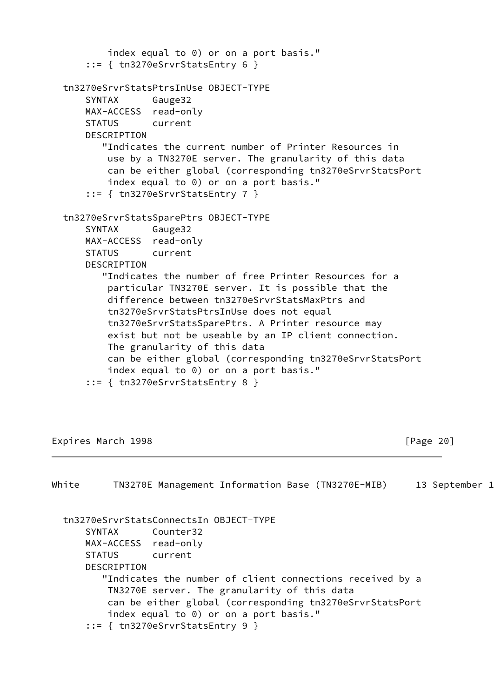```
 index equal to 0) or on a port basis."
    ::= { tn3270eSrvrStatsEntry 6 }
 tn3270eSrvrStatsPtrsInUse OBJECT-TYPE
     SYNTAX Gauge32
     MAX-ACCESS read-only
     STATUS current
     DESCRIPTION
        "Indicates the current number of Printer Resources in
         use by a TN3270E server. The granularity of this data
         can be either global (corresponding tn3270eSrvrStatsPort
         index equal to 0) or on a port basis."
     ::= { tn3270eSrvrStatsEntry 7 }
 tn3270eSrvrStatsSparePtrs OBJECT-TYPE
     SYNTAX Gauge32
     MAX-ACCESS read-only
     STATUS current
     DESCRIPTION
        "Indicates the number of free Printer Resources for a
         particular TN3270E server. It is possible that the
         difference between tn3270eSrvrStatsMaxPtrs and
         tn3270eSrvrStatsPtrsInUse does not equal
         tn3270eSrvrStatsSparePtrs. A Printer resource may
         exist but not be useable by an IP client connection.
         The granularity of this data
         can be either global (corresponding tn3270eSrvrStatsPort
         index equal to 0) or on a port basis."
     ::= { tn3270eSrvrStatsEntry 8 }
```
Expires March 1998 **Expires March 1998 F** 

White TN3270E Management Information Base (TN3270E-MIB) 13 September 1 tn3270eSrvrStatsConnectsIn OBJECT-TYPE SYNTAX Counter32 MAX-ACCESS read-only STATUS current DESCRIPTION "Indicates the number of client connections received by a TN3270E server. The granularity of this data can be either global (corresponding tn3270eSrvrStatsPort index equal to 0) or on a port basis." ::= { tn3270eSrvrStatsEntry 9 }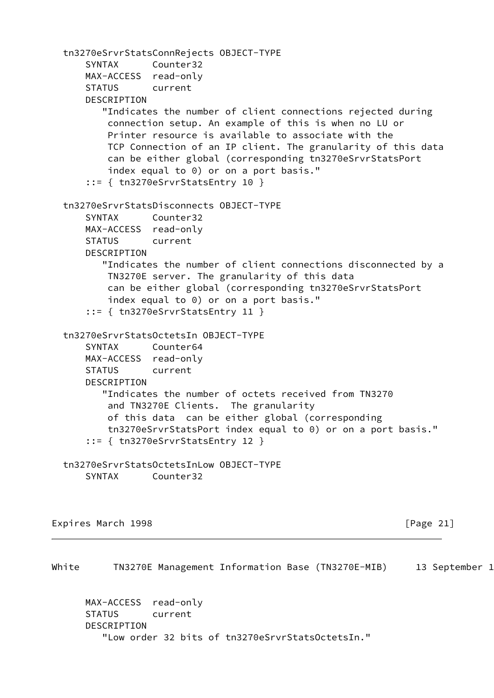```
 tn3270eSrvrStatsConnRejects OBJECT-TYPE
     SYNTAX Counter32
    MAX-ACCESS read-only
     STATUS current
    DESCRIPTION
        "Indicates the number of client connections rejected during
         connection setup. An example of this is when no LU or
         Printer resource is available to associate with the
         TCP Connection of an IP client. The granularity of this data
         can be either global (corresponding tn3270eSrvrStatsPort
         index equal to 0) or on a port basis."
     ::= { tn3270eSrvrStatsEntry 10 }
 tn3270eSrvrStatsDisconnects OBJECT-TYPE
     SYNTAX Counter32
    MAX-ACCESS read-only
     STATUS current
     DESCRIPTION
        "Indicates the number of client connections disconnected by a
         TN3270E server. The granularity of this data
         can be either global (corresponding tn3270eSrvrStatsPort
         index equal to 0) or on a port basis."
     ::= { tn3270eSrvrStatsEntry 11 }
 tn3270eSrvrStatsOctetsIn OBJECT-TYPE
     SYNTAX Counter64
    MAX-ACCESS read-only
    STATUS current
    DESCRIPTION
        "Indicates the number of octets received from TN3270
         and TN3270E Clients. The granularity
         of this data can be either global (corresponding
         tn3270eSrvrStatsPort index equal to 0) or on a port basis."
     ::= { tn3270eSrvrStatsEntry 12 }
 tn3270eSrvrStatsOctetsInLow OBJECT-TYPE
     SYNTAX Counter32
```
Expires March 1998 **Expires March 1998 F** 

White TN3270E Management Information Base (TN3270E-MIB) 13 September 1

 MAX-ACCESS read-only STATUS current DESCRIPTION "Low order 32 bits of tn3270eSrvrStatsOctetsIn."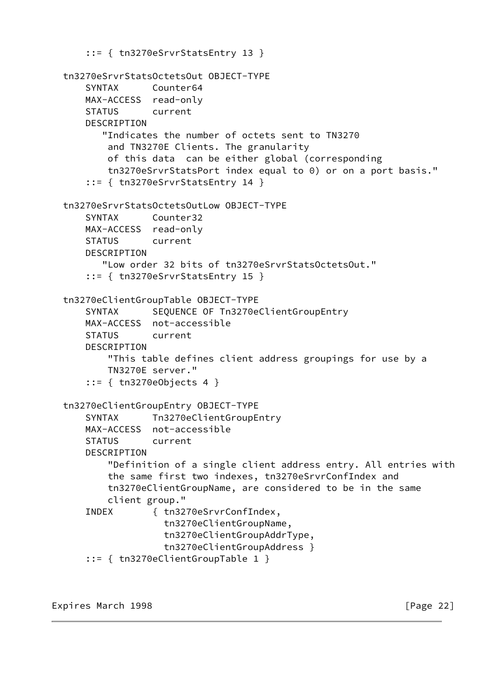```
 ::= { tn3270eSrvrStatsEntry 13 }
 tn3270eSrvrStatsOctetsOut OBJECT-TYPE
     SYNTAX Counter64
    MAX-ACCESS read-only
     STATUS current
    DESCRIPTION
        "Indicates the number of octets sent to TN3270
         and TN3270E Clients. The granularity
         of this data can be either global (corresponding
         tn3270eSrvrStatsPort index equal to 0) or on a port basis."
     ::= { tn3270eSrvrStatsEntry 14 }
 tn3270eSrvrStatsOctetsOutLow OBJECT-TYPE
     SYNTAX Counter32
    MAX-ACCESS read-only
     STATUS current
     DESCRIPTION
        "Low order 32 bits of tn3270eSrvrStatsOctetsOut."
     ::= { tn3270eSrvrStatsEntry 15 }
 tn3270eClientGroupTable OBJECT-TYPE
    SYNTAX SEQUENCE OF Tn3270eClientGroupEntry
     MAX-ACCESS not-accessible
     STATUS current
     DESCRIPTION
         "This table defines client address groupings for use by a
        TN3270E server."
     ::= { tn3270eObjects 4 }
 tn3270eClientGroupEntry OBJECT-TYPE
     SYNTAX Tn3270eClientGroupEntry
     MAX-ACCESS not-accessible
     STATUS current
     DESCRIPTION
         "Definition of a single client address entry. All entries with
         the same first two indexes, tn3270eSrvrConfIndex and
         tn3270eClientGroupName, are considered to be in the same
         client group."
     INDEX { tn3270eSrvrConfIndex,
                   tn3270eClientGroupName,
                   tn3270eClientGroupAddrType,
                   tn3270eClientGroupAddress }
     ::= { tn3270eClientGroupTable 1 }
```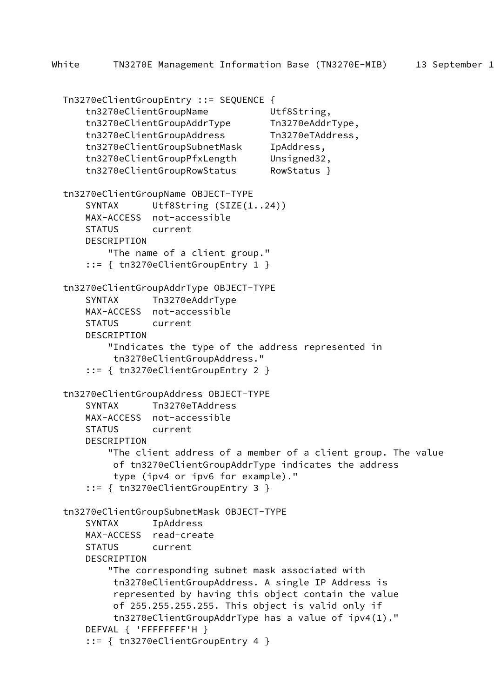```
 Tn3270eClientGroupEntry ::= SEQUENCE {
     tn3270eClientGroupName Utf8String,
     tn3270eClientGroupAddrType Tn3270eAddrType,
     tn3270eClientGroupAddress Tn3270eTAddress,
     tn3270eClientGroupSubnetMask IpAddress,
     tn3270eClientGroupPfxLength Unsigned32,
     tn3270eClientGroupRowStatus RowStatus }
 tn3270eClientGroupName OBJECT-TYPE
    SYNTAX Utf8String (SIZE(1..24))
    MAX-ACCESS not-accessible
    STATUS current
    DESCRIPTION
         "The name of a client group."
     ::= { tn3270eClientGroupEntry 1 }
 tn3270eClientGroupAddrType OBJECT-TYPE
    SYNTAX Tn3270eAddrType
    MAX-ACCESS not-accessible
    STATUS current
    DESCRIPTION
         "Indicates the type of the address represented in
         tn3270eClientGroupAddress."
     ::= { tn3270eClientGroupEntry 2 }
 tn3270eClientGroupAddress OBJECT-TYPE
     SYNTAX Tn3270eTAddress
    MAX-ACCESS not-accessible
    STATUS current
    DESCRIPTION
         "The client address of a member of a client group. The value
         of tn3270eClientGroupAddrType indicates the address
          type (ipv4 or ipv6 for example)."
     ::= { tn3270eClientGroupEntry 3 }
 tn3270eClientGroupSubnetMask OBJECT-TYPE
     SYNTAX IpAddress
    MAX-ACCESS read-create
    STATUS current
     DESCRIPTION
         "The corresponding subnet mask associated with
          tn3270eClientGroupAddress. A single IP Address is
          represented by having this object contain the value
          of 255.255.255.255. This object is valid only if
          tn3270eClientGroupAddrType has a value of ipv4(1)."
    DEFVAL { 'FFFFFFFF'H }
     ::= { tn3270eClientGroupEntry 4 }
```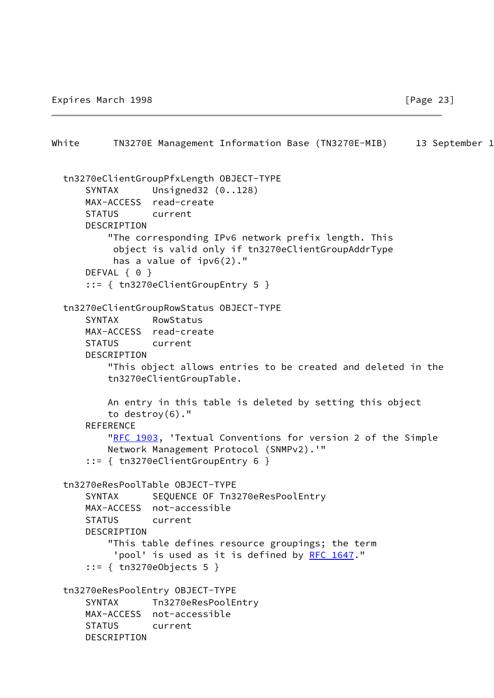```
White TN3270E Management Information Base (TN3270E-MIB) 13 September 1
  tn3270eClientGroupPfxLength OBJECT-TYPE
     SYNTAX Unsigned32 (0..128)
      MAX-ACCESS read-create
      STATUS current
      DESCRIPTION
           "The corresponding IPv6 network prefix length. This
           object is valid only if tn3270eClientGroupAddrType
           has a value of ipv6(2)."
     DEFVAL { 0 }
      ::= { tn3270eClientGroupEntry 5 }
  tn3270eClientGroupRowStatus OBJECT-TYPE
      SYNTAX RowStatus
      MAX-ACCESS read-create
      STATUS current
      DESCRIPTION
          "This object allows entries to be created and deleted in the
          tn3270eClientGroupTable.
          An entry in this table is deleted by setting this object
          to destroy(6)."
     REFERENCE
         "RFC 1903, 'Textual Conventions for version 2 of the Simple
          Network Management Protocol (SNMPv2).'"
       ::= { tn3270eClientGroupEntry 6 }
  tn3270eResPoolTable OBJECT-TYPE
     SYNTAX SEQUENCE OF Tn3270eResPoolEntry
      MAX-ACCESS not-accessible
      STATUS current
      DESCRIPTION
           "This table defines resource groupings; the term
          RFC 1647."
       ::= { tn3270eObjects 5 }
  tn3270eResPoolEntry OBJECT-TYPE
      SYNTAX Tn3270eResPoolEntry
      MAX-ACCESS not-accessible
      STATUS current
      DESCRIPTION
```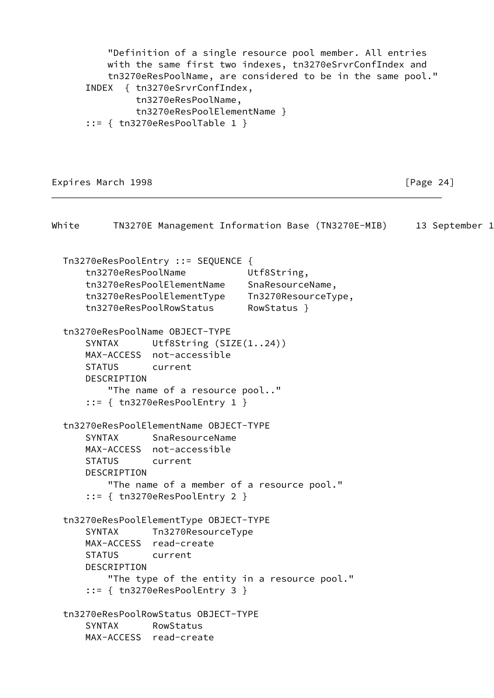```
 "Definition of a single resource pool member. All entries
           with the same first two indexes, tn3270eSrvrConfIndex and
           tn3270eResPoolName, are considered to be in the same pool."
       INDEX { tn3270eSrvrConfIndex,
                tn3270eResPoolName,
                tn3270eResPoolElementName }
       ::= { tn3270eResPoolTable 1 }
Expires March 1998 Expires March 1998 and Accord 24 Expires March 1998
```
White TN3270E Management Information Base (TN3270E-MIB) 13 September 1 Tn3270eResPoolEntry ::= SEQUENCE { tn3270eResPoolName Utf8String, tn3270eResPoolElementName SnaResourceName, tn3270eResPoolElementType Tn3270ResourceType, tn3270eResPoolRowStatus RowStatus } tn3270eResPoolName OBJECT-TYPE SYNTAX Utf8String (SIZE(1..24)) MAX-ACCESS not-accessible STATUS current DESCRIPTION "The name of a resource pool.." ::= { tn3270eResPoolEntry 1 } tn3270eResPoolElementName OBJECT-TYPE SYNTAX SnaResourceName MAX-ACCESS not-accessible STATUS current DESCRIPTION "The name of a member of a resource pool." ::= { tn3270eResPoolEntry 2 } tn3270eResPoolElementType OBJECT-TYPE SYNTAX Tn3270ResourceType MAX-ACCESS read-create STATUS current DESCRIPTION "The type of the entity in a resource pool." ::= { tn3270eResPoolEntry 3 } tn3270eResPoolRowStatus OBJECT-TYPE SYNTAX RowStatus MAX-ACCESS read-create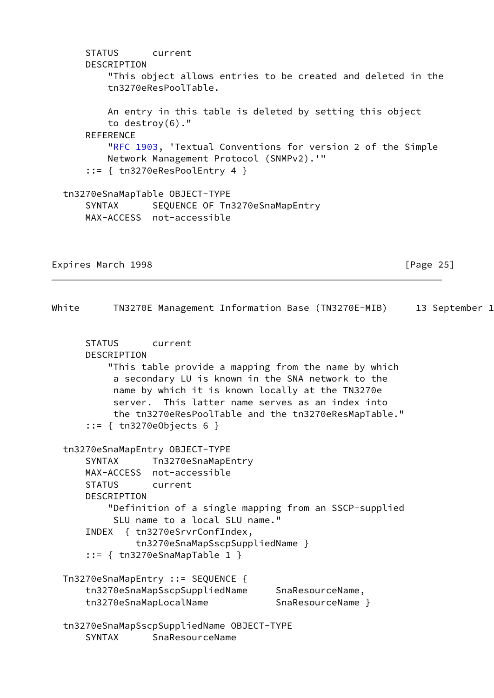```
 STATUS current
      DESCRIPTION
          "This object allows entries to be created and deleted in the
          tn3270eResPoolTable.
          An entry in this table is deleted by setting this object
          to destroy(6)."
      REFERENCE
          "RFC 1903, 'Textual Conventions for version 2 of the Simple
          Network Management Protocol (SNMPv2).'"
      ::= { tn3270eResPoolEntry 4 }
  tn3270eSnaMapTable OBJECT-TYPE
     SYNTAX SEQUENCE OF Tn3270eSnaMapEntry
      MAX-ACCESS not-accessible
Expires March 1998 Expires March 1998
White TN3270E Management Information Base (TN3270E-MIB) 13 September 1
      STATUS current
      DESCRIPTION
          "This table provide a mapping from the name by which
           a secondary LU is known in the SNA network to the
           name by which it is known locally at the TN3270e
           server. This latter name serves as an index into
           the tn3270eResPoolTable and the tn3270eResMapTable."
      ::= { tn3270eObjects 6 }
  tn3270eSnaMapEntry OBJECT-TYPE
     SYNTAX Tn3270eSnaMapEntry
      MAX-ACCESS not-accessible
      STATUS current
      DESCRIPTION
          "Definition of a single mapping from an SSCP-supplied
           SLU name to a local SLU name."
      INDEX { tn3270eSrvrConfIndex,
               tn3270eSnaMapSscpSuppliedName }
       ::= { tn3270eSnaMapTable 1 }
  Tn3270eSnaMapEntry ::= SEQUENCE {
      tn3270eSnaMapSscpSuppliedName SnaResourceName,
     tn3270eSnaMapLocalName SnaResourceName }
  tn3270eSnaMapSscpSuppliedName OBJECT-TYPE
      SYNTAX SnaResourceName
```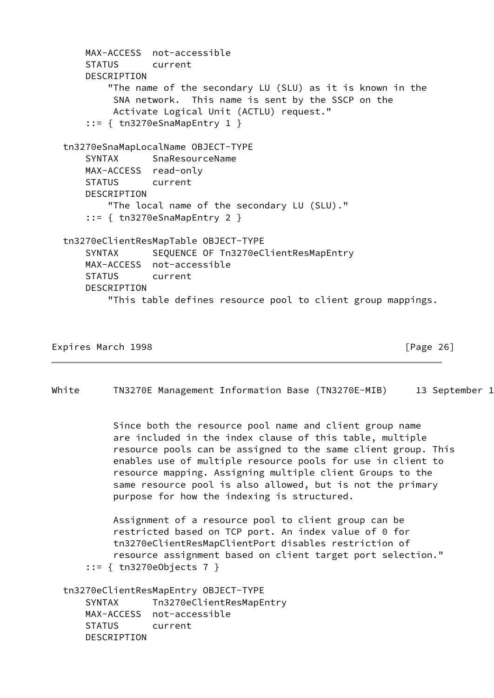```
 MAX-ACCESS not-accessible
     STATUS current
     DESCRIPTION
         "The name of the secondary LU (SLU) as it is known in the
          SNA network. This name is sent by the SSCP on the
          Activate Logical Unit (ACTLU) request."
     ::= { tn3270eSnaMapEntry 1 }
 tn3270eSnaMapLocalName OBJECT-TYPE
     SYNTAX SnaResourceName
    MAX-ACCESS read-only
     STATUS current
    DESCRIPTION
         "The local name of the secondary LU (SLU)."
     ::= { tn3270eSnaMapEntry 2 }
 tn3270eClientResMapTable OBJECT-TYPE
     SYNTAX SEQUENCE OF Tn3270eClientResMapEntry
     MAX-ACCESS not-accessible
     STATUS current
     DESCRIPTION
         "This table defines resource pool to client group mappings.
```

```
Expires March 1998 Expires March 1998 Expires March 1998
```
White TN3270E Management Information Base (TN3270E-MIB) 13 September 1

 Since both the resource pool name and client group name are included in the index clause of this table, multiple resource pools can be assigned to the same client group. This enables use of multiple resource pools for use in client to resource mapping. Assigning multiple client Groups to the same resource pool is also allowed, but is not the primary purpose for how the indexing is structured.

 Assignment of a resource pool to client group can be restricted based on TCP port. An index value of 0 for tn3270eClientResMapClientPort disables restriction of resource assignment based on client target port selection." ::= { tn3270eObjects 7 }

 tn3270eClientResMapEntry OBJECT-TYPE SYNTAX Tn3270eClientResMapEntry MAX-ACCESS not-accessible STATUS current DESCRIPTION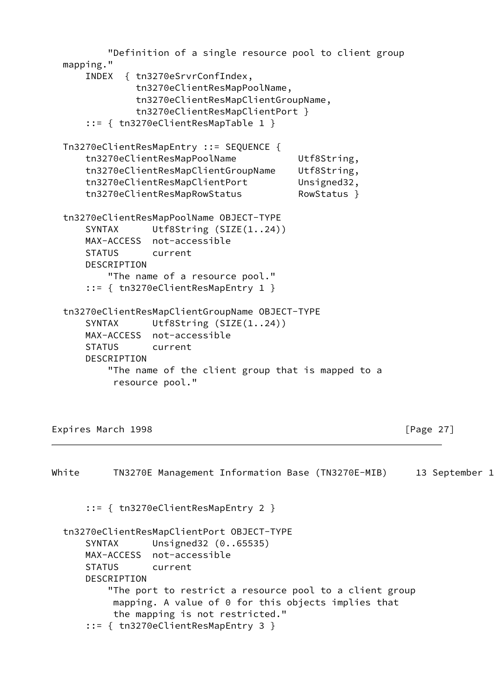```
 "Definition of a single resource pool to client group
 mapping."
     INDEX { tn3270eSrvrConfIndex,
             tn3270eClientResMapPoolName,
             tn3270eClientResMapClientGroupName,
             tn3270eClientResMapClientPort }
     ::= { tn3270eClientResMapTable 1 }
 Tn3270eClientResMapEntry ::= SEQUENCE {
     tn3270eClientResMapPoolName Utf8String,
     tn3270eClientResMapClientGroupName Utf8String,
     tn3270eClientResMapClientPort Unsigned32,
     tn3270eClientResMapRowStatus RowStatus }
 tn3270eClientResMapPoolName OBJECT-TYPE
    SYNTAX Utf8String (SIZE(1..24))
    MAX-ACCESS not-accessible
    STATUS current
    DESCRIPTION
        "The name of a resource pool."
     ::= { tn3270eClientResMapEntry 1 }
 tn3270eClientResMapClientGroupName OBJECT-TYPE
    SYNTAX Utf8String (SIZE(1..24))
    MAX-ACCESS not-accessible
    STATUS current
    DESCRIPTION
        "The name of the client group that is mapped to a
         resource pool."
```
Expires March 1998 **Expires March 1998 Expires** March 1998

```
White TN3270E Management Information Base (TN3270E-MIB) 13 September 1
       ::= { tn3270eClientResMapEntry 2 }
  tn3270eClientResMapClientPort OBJECT-TYPE
       SYNTAX Unsigned32 (0..65535)
      MAX-ACCESS not-accessible
      STATUS current
      DESCRIPTION
           "The port to restrict a resource pool to a client group
           mapping. A value of 0 for this objects implies that
           the mapping is not restricted."
       ::= { tn3270eClientResMapEntry 3 }
```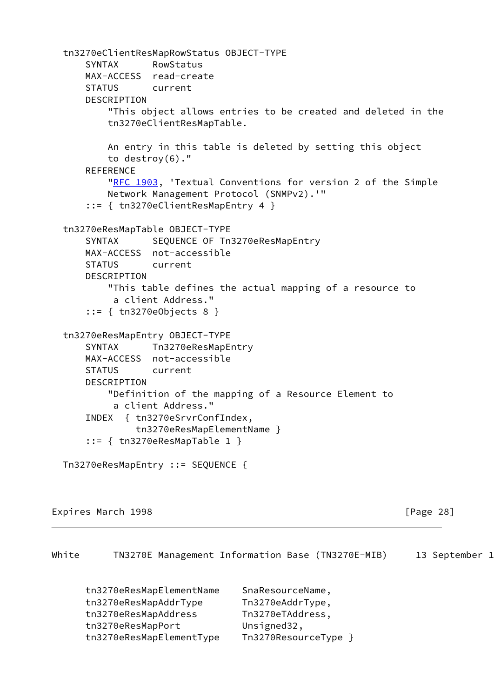```
 tn3270eClientResMapRowStatus OBJECT-TYPE
     SYNTAX RowStatus
    MAX-ACCESS read-create
     STATUS current
     DESCRIPTION
         "This object allows entries to be created and deleted in the
         tn3270eClientResMapTable.
         An entry in this table is deleted by setting this object
         to destroy(6)."
     REFERENCE
        "RFC 1903, 'Textual Conventions for version 2 of the Simple
         Network Management Protocol (SNMPv2).'"
     ::= { tn3270eClientResMapEntry 4 }
 tn3270eResMapTable OBJECT-TYPE
    SYNTAX SEQUENCE OF Tn3270eResMapEntry
     MAX-ACCESS not-accessible
     STATUS current
     DESCRIPTION
         "This table defines the actual mapping of a resource to
          a client Address."
     ::= { tn3270eObjects 8 }
 tn3270eResMapEntry OBJECT-TYPE
    SYNTAX Tn3270eResMapEntry
    MAX-ACCESS not-accessible
    STATUS current
    DESCRIPTION
         "Definition of the mapping of a Resource Element to
          a client Address."
     INDEX { tn3270eSrvrConfIndex,
              tn3270eResMapElementName }
     ::= { tn3270eResMapTable 1 }
 Tn3270eResMapEntry ::= SEQUENCE {
```
Expires March 1998 **Expires March** 1998

White TN3270E Management Information Base (TN3270E-MIB) 13 September 1

| tn3270eResMapElementName | SnaResourceName,   |
|--------------------------|--------------------|
| tn3270eResMapAddrType    | Tn3270eAddrType,   |
| tn3270eResMapAddress     | Tn3270eTAddress,   |
| tn3270eResMapPort        | Unsigned32,        |
| tn3270eResMapElementType | Tn3270ResourceType |
|                          |                    |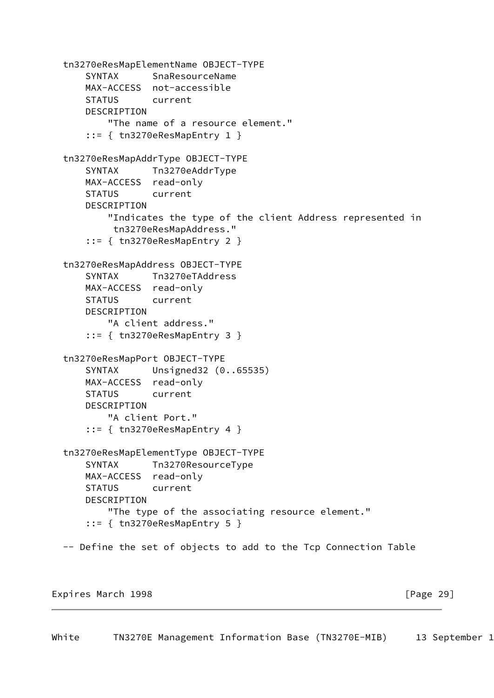```
 tn3270eResMapElementName OBJECT-TYPE
     SYNTAX SnaResourceName
     MAX-ACCESS not-accessible
    STATUS current
     DESCRIPTION
         "The name of a resource element."
     ::= { tn3270eResMapEntry 1 }
 tn3270eResMapAddrType OBJECT-TYPE
     SYNTAX Tn3270eAddrType
    MAX-ACCESS read-only
     STATUS current
     DESCRIPTION
         "Indicates the type of the client Address represented in
         tn3270eResMapAddress."
     ::= { tn3270eResMapEntry 2 }
 tn3270eResMapAddress OBJECT-TYPE
     SYNTAX Tn3270eTAddress
    MAX-ACCESS read-only
    STATUS current
     DESCRIPTION
         "A client address."
     ::= { tn3270eResMapEntry 3 }
 tn3270eResMapPort OBJECT-TYPE
     SYNTAX Unsigned32 (0..65535)
    MAX-ACCESS read-only
    STATUS current
     DESCRIPTION
         "A client Port."
    ::= { tn3270eResMapEntry 4 }
 tn3270eResMapElementType OBJECT-TYPE
     SYNTAX Tn3270ResourceType
    MAX-ACCESS read-only
     STATUS current
     DESCRIPTION
         "The type of the associating resource element."
     ::= { tn3270eResMapEntry 5 }
 -- Define the set of objects to add to the Tcp Connection Table
```
Expires March 1998 **Expires March** 1998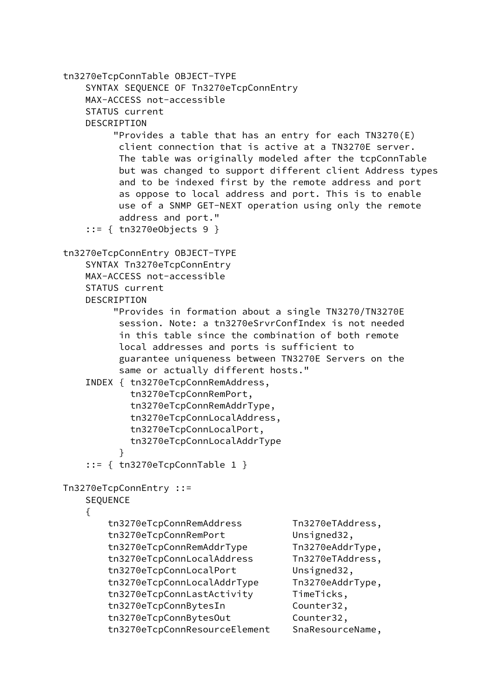tn3270eTcpConnTable OBJECT-TYPE SYNTAX SEQUENCE OF Tn3270eTcpConnEntry MAX-ACCESS not-accessible STATUS current DESCRIPTION "Provides a table that has an entry for each TN3270(E) client connection that is active at a TN3270E server. The table was originally modeled after the tcpConnTable but was changed to support different client Address types and to be indexed first by the remote address and port as oppose to local address and port. This is to enable use of a SNMP GET-NEXT operation using only the remote address and port." ::= { tn3270eObjects 9 } tn3270eTcpConnEntry OBJECT-TYPE SYNTAX Tn3270eTcpConnEntry MAX-ACCESS not-accessible STATUS current DESCRIPTION "Provides in formation about a single TN3270/TN3270E session. Note: a tn3270eSrvrConfIndex is not needed in this table since the combination of both remote local addresses and ports is sufficient to guarantee uniqueness between TN3270E Servers on the same or actually different hosts." INDEX { tn3270eTcpConnRemAddress, tn3270eTcpConnRemPort, tn3270eTcpConnRemAddrType, tn3270eTcpConnLocalAddress, tn3270eTcpConnLocalPort, tn3270eTcpConnLocalAddrType } ::= { tn3270eTcpConnTable 1 } Tn3270eTcpConnEntry ::= SEQUENCE { tn3270eTcpConnRemAddress Tn3270eTAddress, tn3270eTcpConnRemPort Unsigned32, tn3270eTcpConnRemAddrType Tn3270eAddrType, tn3270eTcpConnLocalAddress Tn3270eTAddress, tn3270eTcpConnLocalPort Unsigned32, tn3270eTcpConnLocalAddrType Tn3270eAddrType, tn3270eTcpConnLastActivity TimeTicks, tn3270eTcpConnBytesIn Counter32, tn3270eTcpConnBytesOut Counter32,

tn3270eTcpConnResourceElement SnaResourceName,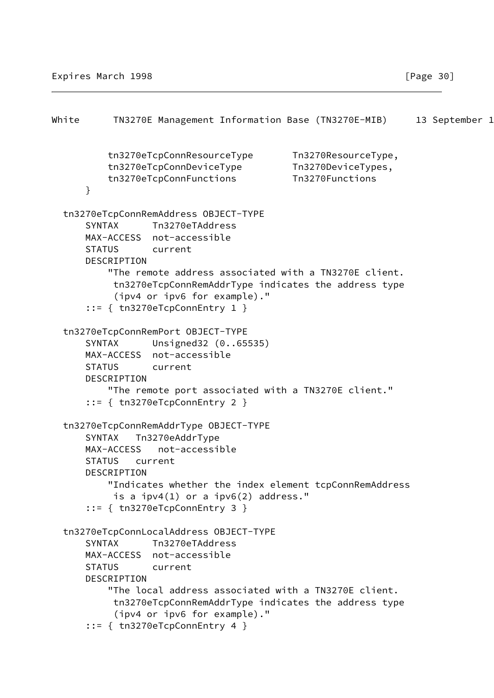```
White TN3270E Management Information Base (TN3270E-MIB) 13 September 1
          tn3270eTcpConnResourceType Tn3270ResourceType,
          tn3270eTcpConnDeviceType Tn3270DeviceTypes,
          tn3270eTcpConnFunctions Tn3270Functions
       }
  tn3270eTcpConnRemAddress OBJECT-TYPE
       SYNTAX Tn3270eTAddress
      MAX-ACCESS not-accessible
      STATUS current
      DESCRIPTION
           "The remote address associated with a TN3270E client.
           tn3270eTcpConnRemAddrType indicates the address type
           (ipv4 or ipv6 for example)."
       ::= { tn3270eTcpConnEntry 1 }
  tn3270eTcpConnRemPort OBJECT-TYPE
       SYNTAX Unsigned32 (0..65535)
      MAX-ACCESS not-accessible
      STATUS current
      DESCRIPTION
          "The remote port associated with a TN3270E client."
       ::= { tn3270eTcpConnEntry 2 }
  tn3270eTcpConnRemAddrType OBJECT-TYPE
       SYNTAX Tn3270eAddrType
      MAX-ACCESS not-accessible
      STATUS current
     DESCRIPTION
           "Indicates whether the index element tcpConnRemAddress
          is a ipv4(1) or a ipv6(2) address."
       ::= { tn3270eTcpConnEntry 3 }
  tn3270eTcpConnLocalAddress OBJECT-TYPE
       SYNTAX Tn3270eTAddress
      MAX-ACCESS not-accessible
      STATUS current
      DESCRIPTION
          "The local address associated with a TN3270E client.
           tn3270eTcpConnRemAddrType indicates the address type
            (ipv4 or ipv6 for example)."
       ::= { tn3270eTcpConnEntry 4 }
```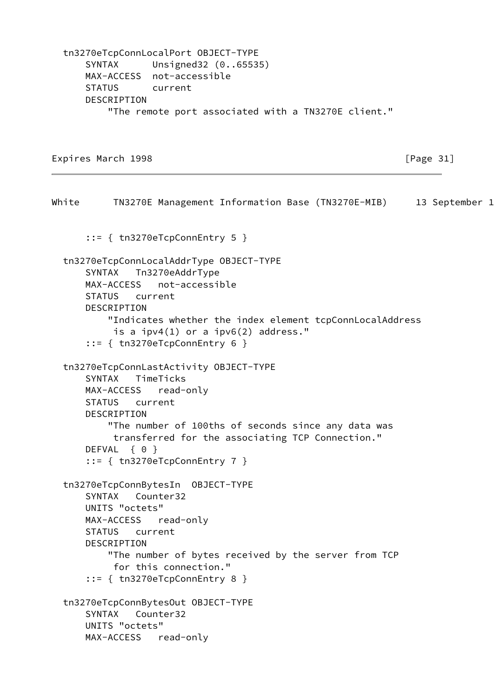tn3270eTcpConnLocalPort OBJECT-TYPE SYNTAX Unsigned32 (0..65535) MAX-ACCESS not-accessible STATUS current DESCRIPTION "The remote port associated with a TN3270E client."

Expires March 1998 **Expires** March 1998 **Expires** March 1998

White TN3270E Management Information Base (TN3270E-MIB) 13 September 1 ::= { tn3270eTcpConnEntry 5 } tn3270eTcpConnLocalAddrType OBJECT-TYPE SYNTAX Tn3270eAddrType MAX-ACCESS not-accessible STATUS current DESCRIPTION "Indicates whether the index element tcpConnLocalAddress is a ipv4(1) or a ipv6(2) address." ::= { tn3270eTcpConnEntry 6 } tn3270eTcpConnLastActivity OBJECT-TYPE SYNTAX TimeTicks MAX-ACCESS read-only STATUS current DESCRIPTION "The number of 100ths of seconds since any data was transferred for the associating TCP Connection." DEFVAL { 0 } ::= { tn3270eTcpConnEntry 7 } tn3270eTcpConnBytesIn OBJECT-TYPE SYNTAX Counter32 UNITS "octets" MAX-ACCESS read-only STATUS current DESCRIPTION "The number of bytes received by the server from TCP for this connection." ::= { tn3270eTcpConnEntry 8 } tn3270eTcpConnBytesOut OBJECT-TYPE SYNTAX Counter32 UNITS "octets" MAX-ACCESS read-only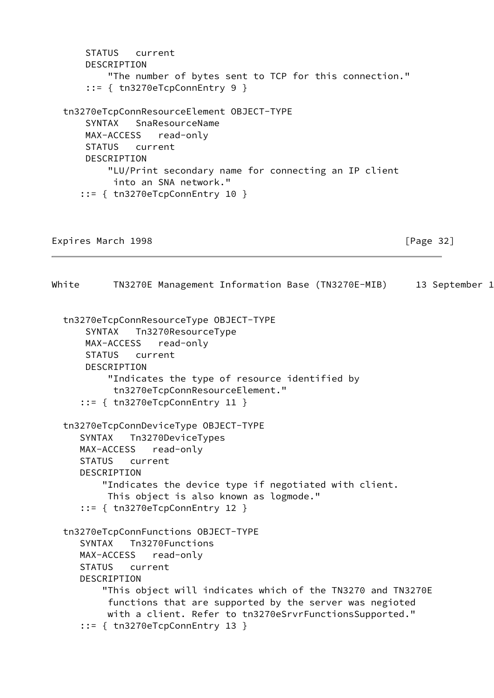```
 STATUS current
       DESCRIPTION
           "The number of bytes sent to TCP for this connection."
       ::= { tn3270eTcpConnEntry 9 }
   tn3270eTcpConnResourceElement OBJECT-TYPE
       SYNTAX SnaResourceName
       MAX-ACCESS read-only
      STATUS current
      DESCRIPTION
           "LU/Print secondary name for connecting an IP client
            into an SNA network."
      ::= { tn3270eTcpConnEntry 10 }
Expires March 1998 Expires March 1998 Expires March 1998
White TN3270E Management Information Base (TN3270E-MIB) 13 September 1
   tn3270eTcpConnResourceType OBJECT-TYPE
       SYNTAX Tn3270ResourceType
      MAX-ACCESS read-only
       STATUS current
       DESCRIPTION
           "Indicates the type of resource identified by
            tn3270eTcpConnResourceElement."
      ::= { tn3270eTcpConnEntry 11 }
   tn3270eTcpConnDeviceType OBJECT-TYPE
      SYNTAX Tn3270DeviceTypes
      MAX-ACCESS read-only
      STATUS current
      DESCRIPTION
          "Indicates the device type if negotiated with client.
           This object is also known as logmode."
      ::= { tn3270eTcpConnEntry 12 }
   tn3270eTcpConnFunctions OBJECT-TYPE
      SYNTAX Tn3270Functions
      MAX-ACCESS read-only
      STATUS current
      DESCRIPTION
          "This object will indicates which of the TN3270 and TN3270E
           functions that are supported by the server was negioted
           with a client. Refer to tn3270eSrvrFunctionsSupported."
      ::= { tn3270eTcpConnEntry 13 }
```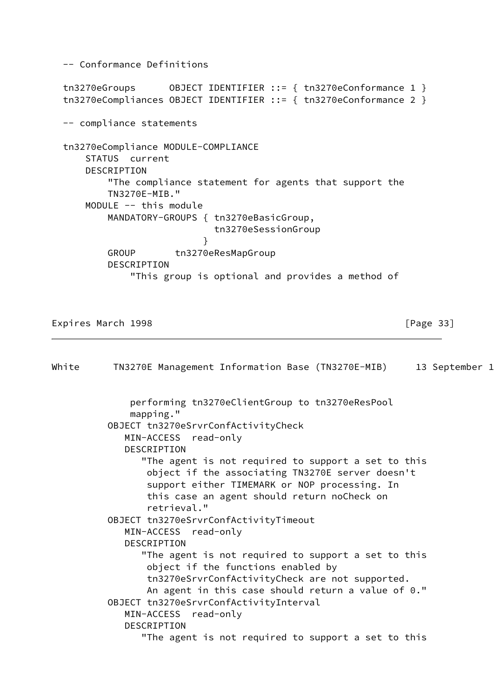```
 -- Conformance Definitions
  tn3270eGroups OBJECT IDENTIFIER ::= { tn3270eConformance 1 }
  tn3270eCompliances OBJECT IDENTIFIER ::= { tn3270eConformance 2 }
  -- compliance statements
  tn3270eCompliance MODULE-COMPLIANCE
       STATUS current
      DESCRIPTION
           "The compliance statement for agents that support the
          TN3270E-MIB."
      MODULE -- this module
          MANDATORY-GROUPS { tn3270eBasicGroup,
                             tn3270eSessionGroup
 }
         GROUP tn3270eResMapGroup
          DESCRIPTION
              "This group is optional and provides a method of
Expires March 1998 Expires March 1998 Expires March 2018
White TN3270E Management Information Base (TN3270E-MIB) 13 September 1
              performing tn3270eClientGroup to tn3270eResPool
              mapping."
          OBJECT tn3270eSrvrConfActivityCheck
              MIN-ACCESS read-only
             DESCRIPTION
                 "The agent is not required to support a set to this
                 object if the associating TN3270E server doesn't
                 support either TIMEMARK or NOP processing. In
                 this case an agent should return noCheck on
                 retrieval."
          OBJECT tn3270eSrvrConfActivityTimeout
             MIN-ACCESS read-only
             DESCRIPTION
                "The agent is not required to support a set to this
                 object if the functions enabled by
                 tn3270eSrvrConfActivityCheck are not supported.
                An agent in this case should return a value of 0."
          OBJECT tn3270eSrvrConfActivityInterval
             MIN-ACCESS read-only
             DESCRIPTION
                 "The agent is not required to support a set to this
```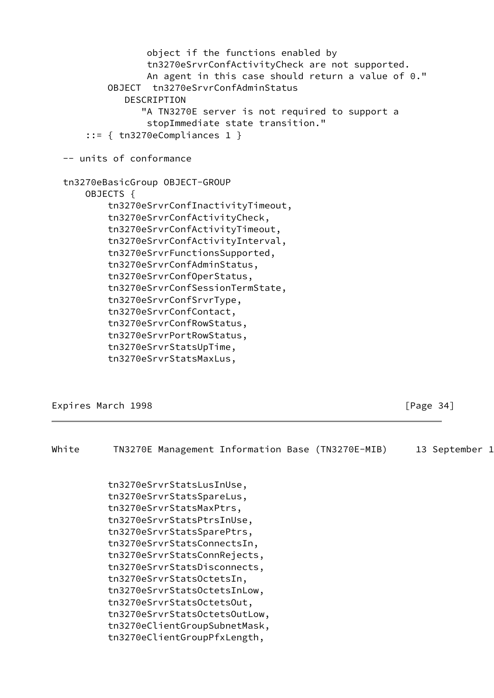```
 object if the functions enabled by
                tn3270eSrvrConfActivityCheck are not supported.
                An agent in this case should return a value of 0."
         OBJECT tn3270eSrvrConfAdminStatus
            DESCRIPTION
               "A TN3270E server is not required to support a
                stopImmediate state transition."
     ::= { tn3270eCompliances 1 }
 -- units of conformance
 tn3270eBasicGroup OBJECT-GROUP
     OBJECTS {
         tn3270eSrvrConfInactivityTimeout,
         tn3270eSrvrConfActivityCheck,
         tn3270eSrvrConfActivityTimeout,
         tn3270eSrvrConfActivityInterval,
         tn3270eSrvrFunctionsSupported,
         tn3270eSrvrConfAdminStatus,
         tn3270eSrvrConfOperStatus,
         tn3270eSrvrConfSessionTermState,
         tn3270eSrvrConfSrvrType,
         tn3270eSrvrConfContact,
         tn3270eSrvrConfRowStatus,
         tn3270eSrvrPortRowStatus,
         tn3270eSrvrStatsUpTime,
         tn3270eSrvrStatsMaxLus,
```
Expires March 1998 **Expires March 1998 Expires** March 1998

| White | TN3270E Management Information Base (TN3270E-MIB) |  | 13 September |  |
|-------|---------------------------------------------------|--|--------------|--|
|       |                                                   |  |              |  |
|       | tn3270eSrvrStatsLusInUse,                         |  |              |  |
|       | tn3270eSrvrStatsSpareLus,                         |  |              |  |
|       | tn3270eSrvrStatsMaxPtrs,                          |  |              |  |
|       | tn3270eSrvrStatsPtrsInUse,                        |  |              |  |
|       | tn3270eSrvrStatsSparePtrs,                        |  |              |  |
|       | tn3270eSrvrStatsConnectsIn,                       |  |              |  |
|       | tn3270eSrvrStatsConnRejects,                      |  |              |  |
|       | tn3270eSrvrStatsDisconnects,                      |  |              |  |
|       | tn3270eSrvrStatsOctetsIn,                         |  |              |  |
|       | tn3270eSrvrStatsOctetsInLow,                      |  |              |  |
|       | tn3270eSrvrStatsOctetsOut,                        |  |              |  |
|       | tn3270eSrvrStatsOctetsOutLow,                     |  |              |  |
|       | tn3270eClientGroupSubnetMask,                     |  |              |  |
|       | tn3270eClientGroupPfxLength,                      |  |              |  |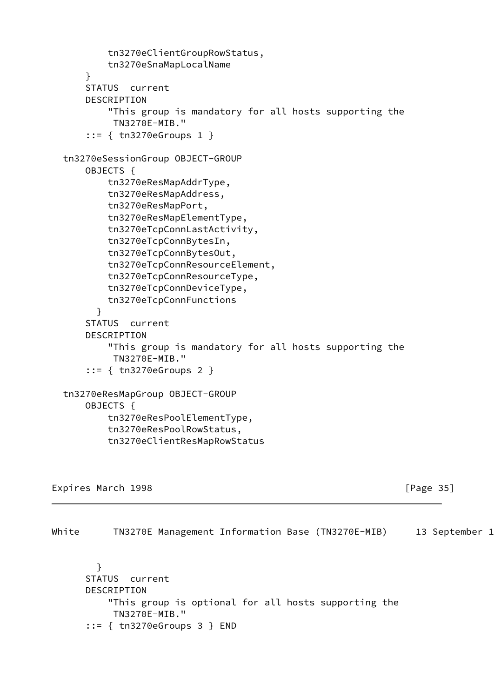tn3270eClientGroupRowStatus, tn3270eSnaMapLocalName } STATUS current DESCRIPTION "This group is mandatory for all hosts supporting the TN3270E-MIB." ::= { tn3270eGroups 1 } tn3270eSessionGroup OBJECT-GROUP OBJECTS { tn3270eResMapAddrType, tn3270eResMapAddress, tn3270eResMapPort, tn3270eResMapElementType, tn3270eTcpConnLastActivity, tn3270eTcpConnBytesIn, tn3270eTcpConnBytesOut, tn3270eTcpConnResourceElement, tn3270eTcpConnResourceType, tn3270eTcpConnDeviceType, tn3270eTcpConnFunctions } STATUS current DESCRIPTION "This group is mandatory for all hosts supporting the TN3270E-MIB." ::= { tn3270eGroups 2 } tn3270eResMapGroup OBJECT-GROUP OBJECTS { tn3270eResPoolElementType, tn3270eResPoolRowStatus, tn3270eClientResMapRowStatus

Expires March 1998 **Expires March 1998 Expires** March 1998

<span id="page-39-0"></span>White TN3270E Management Information Base (TN3270E-MIB) 13 September 1 } STATUS current DESCRIPTION "This group is optional for all hosts supporting the

 TN3270E-MIB." ::= { tn3270eGroups 3 } END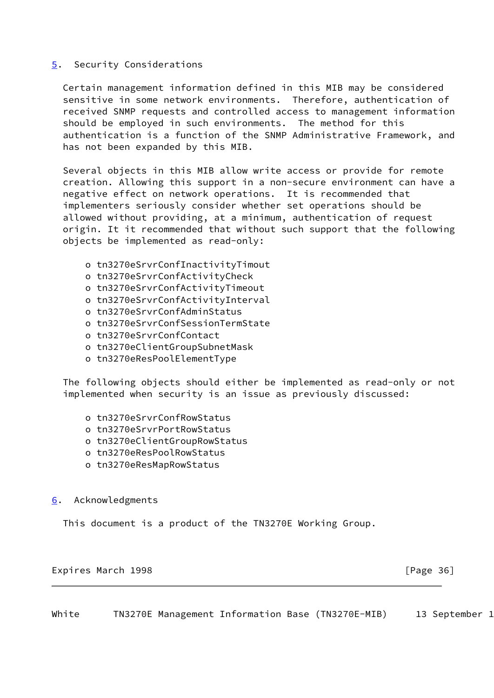## <span id="page-40-1"></span>[5](#page-40-1). Security Considerations

 Certain management information defined in this MIB may be considered sensitive in some network environments. Therefore, authentication of received SNMP requests and controlled access to management information should be employed in such environments. The method for this authentication is a function of the SNMP Administrative Framework, and has not been expanded by this MIB.

 Several objects in this MIB allow write access or provide for remote creation. Allowing this support in a non-secure environment can have a negative effect on network operations. It is recommended that implementers seriously consider whether set operations should be allowed without providing, at a minimum, authentication of request origin. It it recommended that without such support that the following objects be implemented as read-only:

- o tn3270eSrvrConfInactivityTimout
- o tn3270eSrvrConfActivityCheck
- o tn3270eSrvrConfActivityTimeout
- o tn3270eSrvrConfActivityInterval
- o tn3270eSrvrConfAdminStatus
- o tn3270eSrvrConfSessionTermState
- o tn3270eSrvrConfContact
- o tn3270eClientGroupSubnetMask
- o tn3270eResPoolElementType

 The following objects should either be implemented as read-only or not implemented when security is an issue as previously discussed:

- o tn3270eSrvrConfRowStatus
- o tn3270eSrvrPortRowStatus
- o tn3270eClientGroupRowStatus
- o tn3270eResPoolRowStatus
- o tn3270eResMapRowStatus

## <span id="page-40-2"></span>[6](#page-40-2). Acknowledgments

This document is a product of the TN3270E Working Group.

Expires March 1998 **Expires** March 1998

<span id="page-40-0"></span>White TN3270E Management Information Base (TN3270E-MIB) 13 September 1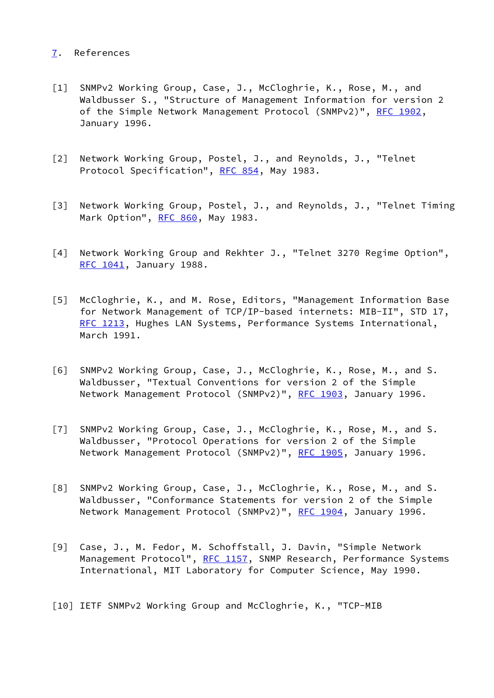## <span id="page-41-7"></span>[7](#page-41-7). References

- <span id="page-41-0"></span>[1] SNMPv2 Working Group, Case, J., McCloghrie, K., Rose, M., and Waldbusser S., "Structure of Management Information for version 2 of the Simple Network Management Protocol (SNMPv2)", [RFC 1902,](https://datatracker.ietf.org/doc/pdf/rfc1902) January 1996.
- [2] Network Working Group, Postel, J., and Reynolds, J., "Telnet Protocol Specification", [RFC 854](https://datatracker.ietf.org/doc/pdf/rfc854), May 1983.
- <span id="page-41-6"></span>[3] Network Working Group, Postel, J., and Reynolds, J., "Telnet Timing Mark Option", [RFC 860](https://datatracker.ietf.org/doc/pdf/rfc860), May 1983.
- [4] Network Working Group and Rekhter J., "Telnet 3270 Regime Option", [RFC 1041](https://datatracker.ietf.org/doc/pdf/rfc1041), January 1988.
- <span id="page-41-1"></span>[5] McCloghrie, K., and M. Rose, Editors, "Management Information Base for Network Management of TCP/IP-based internets: MIB-II", STD 17, [RFC 1213](https://datatracker.ietf.org/doc/pdf/rfc1213), Hughes LAN Systems, Performance Systems International, March 1991.
- <span id="page-41-4"></span>[6] SNMPv2 Working Group, Case, J., McCloghrie, K., Rose, M., and S. Waldbusser, "Textual Conventions for version 2 of the Simple Network Management Protocol (SNMPv2)", [RFC 1903](https://datatracker.ietf.org/doc/pdf/rfc1903), January 1996.
- <span id="page-41-3"></span>[7] SNMPv2 Working Group, Case, J., McCloghrie, K., Rose, M., and S. Waldbusser, "Protocol Operations for version 2 of the Simple Network Management Protocol (SNMPv2)", [RFC 1905](https://datatracker.ietf.org/doc/pdf/rfc1905), January 1996.
- <span id="page-41-5"></span>[8] SNMPv2 Working Group, Case, J., McCloghrie, K., Rose, M., and S. Waldbusser, "Conformance Statements for version 2 of the Simple Network Management Protocol (SNMPv2)", [RFC 1904](https://datatracker.ietf.org/doc/pdf/rfc1904), January 1996.
- <span id="page-41-2"></span>[9] Case, J., M. Fedor, M. Schoffstall, J. Davin, "Simple Network Management Protocol", [RFC 1157](https://datatracker.ietf.org/doc/pdf/rfc1157), SNMP Research, Performance Systems International, MIT Laboratory for Computer Science, May 1990.
- [10] IETF SNMPv2 Working Group and McCloghrie, K., "TCP-MIB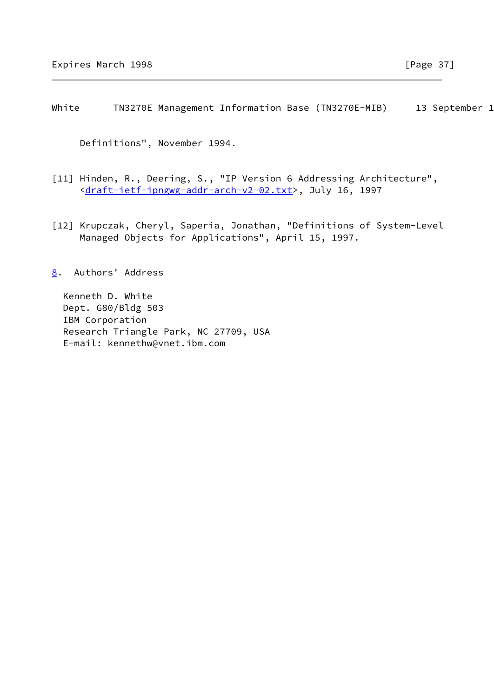<span id="page-42-0"></span>White TN3270E Management Information Base (TN3270E-MIB) 13 September 1

Definitions", November 1994.

- [11] Hinden, R., Deering, S., "IP Version 6 Addressing Architecture", <[draft-ietf-ipngwg-addr-arch-v2-02.txt>](https://datatracker.ietf.org/doc/pdf/draft-ietf-ipngwg-addr-arch-v2-02.txt), July 16, 1997
- <span id="page-42-1"></span>[12] Krupczak, Cheryl, Saperia, Jonathan, "Definitions of System-Level Managed Objects for Applications", April 15, 1997.
- <span id="page-42-2"></span>[8](#page-42-2). Authors' Address

 Kenneth D. White Dept. G80/Bldg 503 IBM Corporation Research Triangle Park, NC 27709, USA E-mail: kennethw@vnet.ibm.com